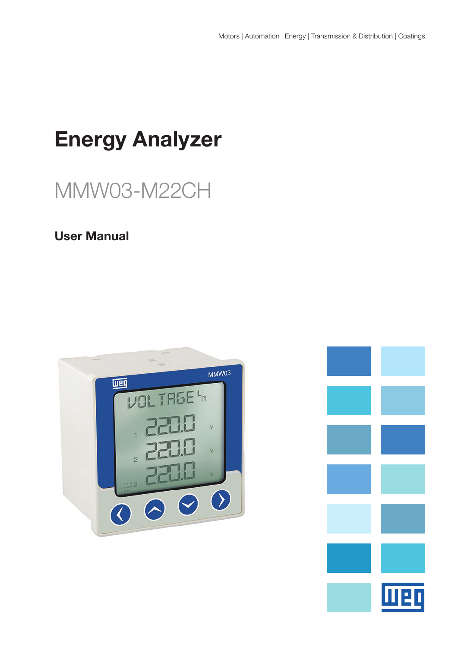# Energy Analyzer

# MMW03-M22CH

# User Manual



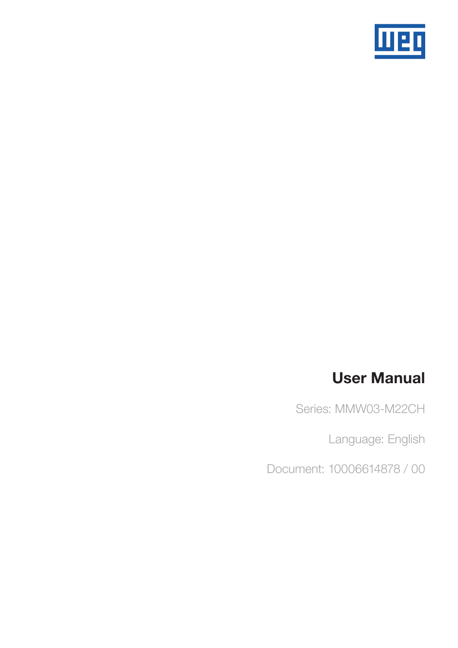

# User Manual

Series: MMW03-M22CH

Language: English

Document: 10006614878 / 00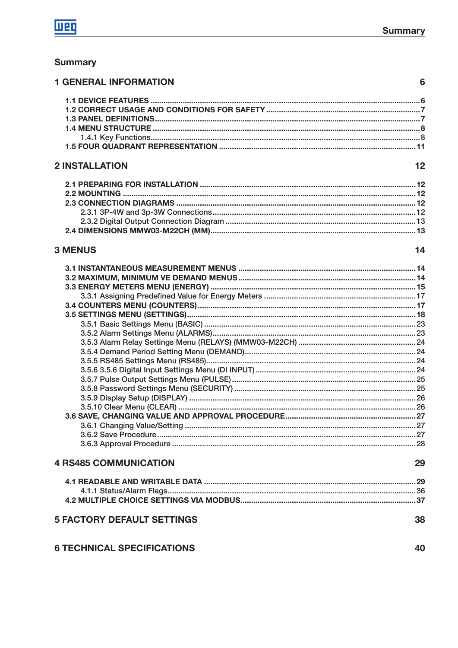$14$ 

## **Summary**

| <b>1 GENERAL INFORMATION</b> |  |
|------------------------------|--|
|                              |  |
|                              |  |
|                              |  |
|                              |  |
|                              |  |
|                              |  |
| <b>2 INSTALLATION</b>        |  |

# **2 INSTALLATION**

# **3 MENUS**

| <b>4 RS485 COMMUNICATION</b>      | 29 |
|-----------------------------------|----|
|                                   |    |
|                                   |    |
|                                   |    |
| <b>5 FACTORY DEFAULT SETTINGS</b> | 38 |

|  | <b>6 TECHNICAL SPECIFICATIONS</b> |
|--|-----------------------------------|
|--|-----------------------------------|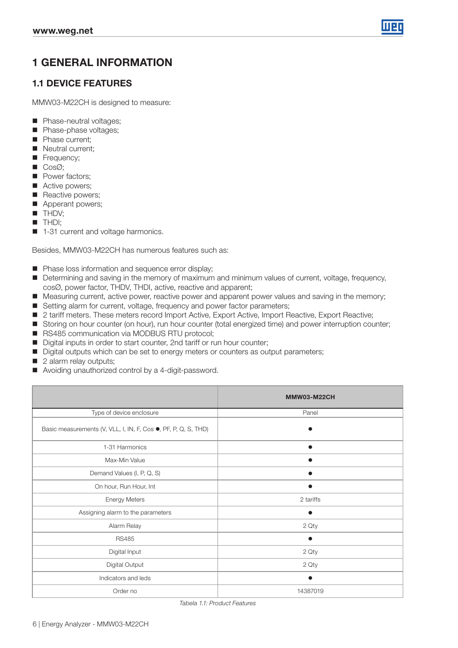

# 1 GENERAL INFORMATION

## 1.1 DEVICE FEATURES

MMW03-M22CH is designed to measure:

- **Phase-neutral voltages:**
- Phase-phase voltages;
- **Phase current:**
- Neutral current:
- Frequency:
- $\Box$  Cos $\oslash$ :
- **Power factors;**
- Active powers:
- Reactive powers;
- **Apperant powers;**
- **THDV;**
- **THDI:**
- 1-31 current and voltage harmonics.

Besides, MMW03-M22CH has numerous features such as:

- **Phase loss information and sequence error display;**
- Determining and saving in the memory of maximum and minimum values of current, voltage, frequency, cosØ, power factor, THDV, THDI, active, reactive and apparent;
- **Measuring current, active power, reactive power and apparent power values and saving in the memory;**
- Setting alarm for current, voltage, frequency and power factor parameters;
- 2 tariff meters. These meters record Import Active, Export Active, Import Reactive, Export Reactive;
- Storing on hour counter (on hour), run hour counter (total energized time) and power interruption counter;
- RS485 communication via MODBUS RTU protocol;
- Digital inputs in order to start counter, 2nd tariff or run hour counter;
- Digital outputs which can be set to energy meters or counters as output parameters;
- 2 alarm relay outputs;
- Avoiding unauthorized control by a 4-digit-password.

|                                                                | <b>MMW03-M22CH</b> |  |  |  |
|----------------------------------------------------------------|--------------------|--|--|--|
| Type of device enclosure                                       | Panel              |  |  |  |
| Basic measurements (V, VLL, I, IN, F, Cos ., PF, P, Q, S, THD) |                    |  |  |  |
| 1-31 Harmonics                                                 |                    |  |  |  |
| Max-Min Value                                                  |                    |  |  |  |
| Demand Values (I, P, Q, S)                                     |                    |  |  |  |
| On hour, Run Hour, Int                                         |                    |  |  |  |
| <b>Energy Meters</b>                                           | 2 tariffs          |  |  |  |
| Assigning alarm to the parameters                              |                    |  |  |  |
| Alarm Relay                                                    | 2 Qty              |  |  |  |
| <b>RS485</b>                                                   |                    |  |  |  |
| Digital Input                                                  | 2 Qty              |  |  |  |
| Digital Output                                                 | 2 Qty              |  |  |  |
| Indicators and leds                                            |                    |  |  |  |
| Order no                                                       | 14387019           |  |  |  |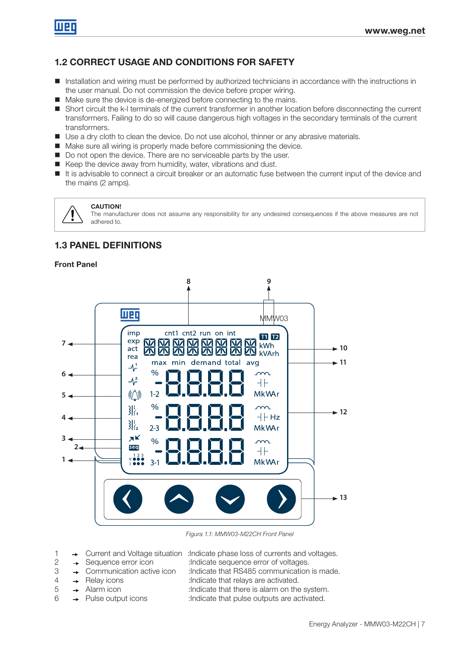# 1.2 CORRECT USAGE AND CONDITIONS FOR SAFETY

- Installation and wiring must be performed by authorized technicians in accordance with the instructions in the user manual. Do not commission the device before proper wiring.
- Make sure the device is de-energized before connecting to the mains.
- Short circuit the k-l terminals of the current transformer in another location before disconnecting the current transformers. Failing to do so will cause dangerous high voltages in the secondary terminals of the current transformers.
- Use a dry cloth to clean the device. Do not use alcohol, thinner or any abrasive materials.
- Make sure all wiring is properly made before commissioning the device.
- Do not open the device. There are no serviceable parts by the user.
- Keep the device away from humidity, water, vibrations and dust.
- It is advisable to connect a circuit breaker or an automatic fuse between the current input of the device and the mains (2 amps).

#### CAUTION!

The manufacturer does not assume any responsibility for any undesired consequences if the above measures are not adhered to.

## 1.3 PANEL DEFINITIONS

#### Front Panel



Figura 1.1: MMW03-M22CH Front Panel

- 1  $\rightarrow$  Current and Voltage situation : Indicate phase loss of currents and voltages.
- 
- 
- 
- 
- 
- 
- 2  $\rightarrow$  Sequence error icon :Indicate sequence error of voltages.
- 3  $\rightarrow$  Communication active icon :Indicate that RS485 communication is made.
- 4 Allen Relay icons :Indicate that relays are activated.
- $5 \rightarrow$  Alarm icon :Indicate that there is alarm on the system.
- $6 \rightarrow$  Pulse output icons :Indicate that pulse outputs are activated.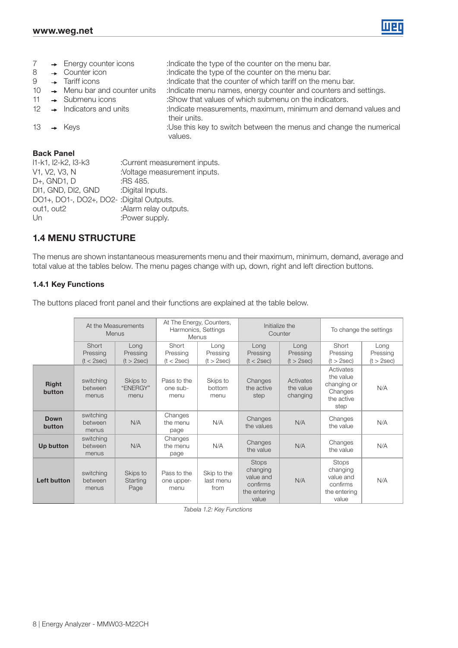

| $\overline{7}$<br>8<br>9<br>10<br>11<br>$12 \overline{ }$ |  | $\rightarrow$ Energy counter icons<br>$\rightarrow$ Counter icon<br>$\rightarrow$ Tariff icons<br>$\rightarrow$ Menu bar and counter units<br>$\rightarrow$ Submenu icons<br>$\rightarrow$ Indicators and units | : Indicate the type of the counter on the menu bar.<br>: Indicate the type of the counter on the menu bar.<br>: Indicate that the counter of which tariff on the menu bar.<br>: Indicate menu names, energy counter and counters and settings.<br>:Show that values of which submenu on the indicators.<br>:Indicate measurements, maximum, minimum and demand values and<br>their units. |
|-----------------------------------------------------------|--|-----------------------------------------------------------------------------------------------------------------------------------------------------------------------------------------------------------------|-------------------------------------------------------------------------------------------------------------------------------------------------------------------------------------------------------------------------------------------------------------------------------------------------------------------------------------------------------------------------------------------|
| 13                                                        |  | $\rightarrow$ Keys                                                                                                                                                                                              | :Use this key to switch between the menus and change the numerical<br>values.                                                                                                                                                                                                                                                                                                             |
|                                                           |  | <b>Back Panel</b>                                                                                                                                                                                               |                                                                                                                                                                                                                                                                                                                                                                                           |
| 11-k1, 12-k2, 13-k3                                       |  |                                                                                                                                                                                                                 | :Current measurement inputs.                                                                                                                                                                                                                                                                                                                                                              |
| $1/4$ $1/0$ $1/0$ $N$                                     |  |                                                                                                                                                                                                                 | $\lambda$ /oltographic magnetism in the $\lambda$                                                                                                                                                                                                                                                                                                                                         |

| V1, V2, V3, N                            | :Voltage measurement inputs. |
|------------------------------------------|------------------------------|
| D+, GND1, D                              | :RS 485.                     |
| DI1, GND, DI2, GND                       | :Digital Inputs.             |
| DO1+, DO1-, DO2+, DO2-: Digital Outputs. |                              |
| out1, out2                               | :Alarm relay outputs.        |
| Un                                       | :Power supply.               |
|                                          |                              |

## 1.4 MENU STRUCTURE

The menus are shown instantaneous measurements menu and their maximum, minimum, demand, average and total value at the tables below. The menu pages change with up, down, right and left direction buttons.

#### 1.4.1 Key Functions

The buttons placed front panel and their functions are explained at the table below.

|                        | At the Measurements<br>Menus    |                                     | At The Energy, Counters,<br>Harmonics, Settings<br>Menus |                                  | Counter                                                                    | Initialize the                     | To change the settings                                                     |                                |  |
|------------------------|---------------------------------|-------------------------------------|----------------------------------------------------------|----------------------------------|----------------------------------------------------------------------------|------------------------------------|----------------------------------------------------------------------------|--------------------------------|--|
|                        | Short<br>Pressing<br>(t < 2sec) | Long<br>Pressing<br>(t > 2sec)      | Short<br>Pressing<br>(t < 2sec)                          | Long<br>Pressing<br>(t > 2sec)   | Long<br>Pressing<br>(t < 2sec)                                             | Long<br>Pressing<br>(t > 2sec)     | Short<br>Pressing<br>(t > 2sec)                                            | Long<br>Pressing<br>(t > 2sec) |  |
| <b>Right</b><br>button | switching<br>between<br>menus   | Skips to<br>"ENERGY"<br>menu        | Pass to the<br>one sub-<br>menu                          | Skips to<br>bottom<br>menu       | Changes<br>the active<br>step                                              | Activates<br>the value<br>changing | Activates<br>the value<br>changing or<br>Changes<br>the active<br>step     | N/A                            |  |
| <b>Down</b><br>button  | switching<br>between<br>menus   | N/A                                 | Changes<br>the menu<br>page                              | N/A                              | Changes<br>the values                                                      | N/A                                | Changes<br>the value                                                       | N/A                            |  |
| <b>Up button</b>       | switching<br>between<br>menus   | N/A                                 | Changes<br>the menu<br>page                              | N/A                              | Changes<br>the value                                                       | N/A                                | Changes<br>the value                                                       | N/A                            |  |
| Left button            | switching<br>between<br>menus   | Skips to<br><b>Starting</b><br>Page | Pass to the<br>one upper-<br>menu                        | Skip to the<br>last menu<br>from | <b>Stops</b><br>changing<br>value and<br>confirms<br>the entering<br>value | N/A                                | <b>Stops</b><br>changing<br>value and<br>confirms<br>the entering<br>value | N/A                            |  |

Tabela 1.2: Key Functions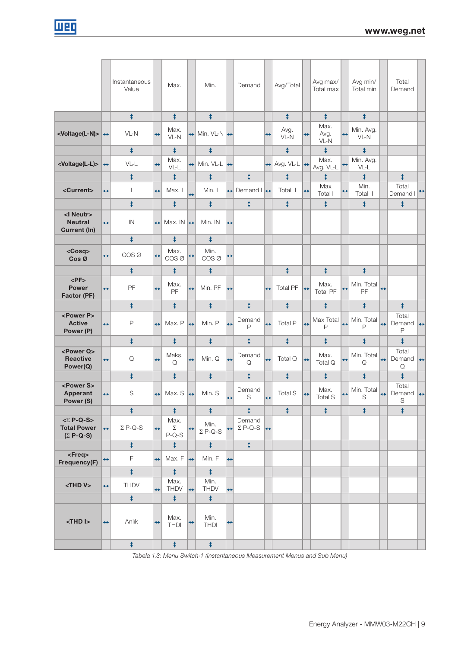|                                                                                           |                   | Instantaneous<br>Value |                   | Max.                      |                   | Min.                          |                   | Demand                                     |                   | Avg/Total                    |                   | Avg max/<br>Total max   |                   | Avg min/<br>Total min |                   | Total<br>Demand      |                   |
|-------------------------------------------------------------------------------------------|-------------------|------------------------|-------------------|---------------------------|-------------------|-------------------------------|-------------------|--------------------------------------------|-------------------|------------------------------|-------------------|-------------------------|-------------------|-----------------------|-------------------|----------------------|-------------------|
|                                                                                           |                   | $\ddagger$             |                   | $\ddagger$                |                   | ŧ                             |                   |                                            |                   | $\ddagger$                   |                   | ŧ                       |                   | $\ddagger$            |                   |                      |                   |
| <voltage(l-n)> →</voltage(l-n)>                                                           |                   | $VL-N$                 | $\leftrightarrow$ | Max.<br>VL-N              | ↔                 | Min. $VL-N$ $\leftrightarrow$ |                   |                                            | $\leftrightarrow$ | Avg.<br>VL-N                 | $\leftrightarrow$ | Max.<br>Avg.<br>VL-N    | $\leftrightarrow$ | Min. Avg.<br>$VL-N$   |                   |                      |                   |
|                                                                                           |                   | ŧ                      |                   | $\ddagger$                |                   | ŧ                             |                   |                                            |                   | ¢.                           |                   | ¢                       |                   | ¢                     |                   |                      |                   |
| <voltage(l-l)></voltage(l-l)>                                                             | ↔                 | VL-L                   | $\leftrightarrow$ | Max.<br>$VL-L$            | ↔                 | Min. VL-L $\leftrightarrow$   |                   |                                            | $\leftarrow$      | Avg. $VLL$ $\leftrightarrow$ |                   | Max.<br>Avg. VL-L       | $\leftrightarrow$ | Min. Avg.<br>VL-L     |                   |                      |                   |
|                                                                                           |                   | ŧ                      |                   | ¢                         |                   | ŧ                             |                   | $\ddagger$                                 |                   | $\ddagger$                   |                   | ŧ                       |                   | ŧ                     |                   | ŧ                    |                   |
| <current></current>                                                                       | $\leftrightarrow$ | $\overline{1}$         | $\leftrightarrow$ | Max. I                    | $\leftrightarrow$ | Min. I                        | ↔                 | Demand $\left  \leftrightarrow \right $    |                   | Total I                      | $\leftrightarrow$ | Max<br>Total I          | $\leftrightarrow$ | Min.<br>Total I       |                   | Total<br>Demand I    | ↔                 |
|                                                                                           |                   | ŧ                      |                   | $\ddagger$                |                   | ŧ                             |                   | $\ddagger$                                 |                   | $\ddagger$                   |                   | ¢                       |                   | ¢                     |                   | ¢                    |                   |
| <i neutr=""><br/><b>Neutral</b><br/><b>Current (In)</b></i>                               | ↔                 | IN                     | $\leftrightarrow$ | Max. IN $\leftrightarrow$ |                   | Min. IN                       | $\leftrightarrow$ |                                            |                   |                              |                   |                         |                   |                       |                   |                      |                   |
|                                                                                           |                   | ŧ                      |                   | $\ddagger$                |                   | ŧ                             |                   |                                            |                   |                              |                   |                         |                   |                       |                   |                      |                   |
| <cosq><br/><math>Cos \varnothing</math></cosq>                                            | ↔                 | COS Ø                  | $\leftrightarrow$ | Max.<br>COS Ø             | $\leftrightarrow$ | Min.<br>COS <sub>Ø</sub>      | $\leftrightarrow$ |                                            |                   |                              |                   |                         |                   |                       |                   |                      |                   |
|                                                                                           |                   | ŧ                      |                   | $\ddagger$                |                   | ŧ                             |                   |                                            |                   | ŧ                            |                   | ¢                       |                   | $\ddagger$            |                   |                      |                   |
| $<$ PF $>$<br><b>Power</b><br>Factor (PF)                                                 | $\leftrightarrow$ | PF                     | $\leftrightarrow$ | Max.<br>PF                | $\leftrightarrow$ | Min. PF                       | $\leftrightarrow$ |                                            | $\leftrightarrow$ | <b>Total PF</b>              | $\leftrightarrow$ | Max.<br><b>Total PF</b> | $\leftrightarrow$ | Min. Total<br>PF      | $\leftrightarrow$ |                      |                   |
|                                                                                           |                   | ŧ                      |                   | $\ddagger$                |                   | ŧ                             |                   | $\ddagger$                                 |                   | $\ddagger$                   |                   | ŧ                       |                   | ¢                     |                   | $\ddagger$           |                   |
| <power p=""><br/><b>Active</b><br/>Power (P)</power>                                      | $\leftrightarrow$ | P                      | $\leftrightarrow$ | Max. P                    | $\leftrightarrow$ | Min. P                        | $\leftrightarrow$ | Demand<br>P                                | $\leftrightarrow$ | Total P                      | $\leftrightarrow$ | Max Total<br>P          | $\leftrightarrow$ | Min. Total<br>P       | $\leftrightarrow$ | Total<br>Demand<br>P | ∣↔                |
|                                                                                           |                   | ŧ                      |                   | $\ddagger$                |                   | ŧ                             |                   | $\ddagger$                                 |                   | $\ddagger$                   |                   | ŧ                       |                   | ¢                     |                   | ŧ                    |                   |
| <power q=""><br/><b>Reactive</b><br/>Power(Q)</power>                                     | $\leftrightarrow$ | Q                      | $\leftrightarrow$ | Maks.<br>Q                | $\leftrightarrow$ | Min. Q                        | $\leftrightarrow$ | Demand<br>Q                                | $\leftrightarrow$ | Total Q                      | $\leftrightarrow$ | Max.<br>Total Q         | ↔                 | Min. Total<br>Q       | $\leftrightarrow$ | Total<br>Demand<br>Q | $\leftrightarrow$ |
|                                                                                           |                   | ŧ                      |                   | $\ddagger$                |                   | ŧ                             |                   | $\ddagger$                                 |                   | ¢                            |                   | ¢                       |                   | ¢                     |                   | ¢                    |                   |
| <power s=""><br/><b>Apperant</b><br/>Power (S)</power>                                    | $\leftrightarrow$ | S                      | $\leftrightarrow$ | Max. S                    | $\leftrightarrow$ | Min. S                        | $\leftrightarrow$ | Demand<br>S                                | $\leftrightarrow$ | <b>Total S</b>               | $\leftrightarrow$ | Max.<br><b>Total S</b>  | ↔                 | Min. Total<br>S       | $\leftrightarrow$ | Total<br>Demand<br>S | $\leftrightarrow$ |
|                                                                                           |                   | ŧ                      |                   | $\ddagger$                |                   | ŧ                             |                   | $\ddagger$                                 |                   | ¢                            |                   | ¢                       |                   | ¢                     |                   | $\ddagger$           |                   |
| $\langle \Sigma \, P\text{-}Q\text{-}S \rangle$<br><b>Total Power</b><br>$(\Sigma P-Q-S)$ | $\leftrightarrow$ | $\Sigma$ P-Q-S         | $\leftrightarrow$ | Max.<br>Σ<br>$P-Q-S$      | $\leftrightarrow$ | Min.<br>$\Sigma$ P-Q-S        | $\leftrightarrow$ | Demand<br>$\Sigma$ P-Q-S $\leftrightarrow$ |                   |                              |                   |                         |                   |                       |                   |                      |                   |
|                                                                                           |                   | ŧ                      |                   | ŧ                         |                   | ŧ                             |                   | ¢                                          |                   |                              |                   |                         |                   |                       |                   |                      |                   |
| <freq><br/>Frequency(F)</freq>                                                            | ↔                 | F                      | $\leftrightarrow$ | Max. F                    | ∣↔                | Min. F                        | $\leftrightarrow$ |                                            |                   |                              |                   |                         |                   |                       |                   |                      |                   |
|                                                                                           |                   | $\ddagger$             |                   | $\ddagger$                |                   | $\ddagger$                    |                   |                                            |                   |                              |                   |                         |                   |                       |                   |                      |                   |
| <thd v=""></thd>                                                                          | $\leftrightarrow$ | <b>THDV</b>            | $\leftrightarrow$ | Max.<br><b>THDV</b>       | $\leftrightarrow$ | Min.<br><b>THDV</b>           | $\leftrightarrow$ |                                            |                   |                              |                   |                         |                   |                       |                   |                      |                   |
|                                                                                           |                   | $\ddagger$             |                   | ¢                         |                   | ŧ                             |                   |                                            |                   |                              |                   |                         |                   |                       |                   |                      |                   |
| $<$ THD $I$ >                                                                             | $\leftrightarrow$ | Anlık                  | $\leftrightarrow$ | Max.<br><b>THDI</b>       | ↔                 | Min.<br><b>THDI</b>           | $\leftrightarrow$ |                                            |                   |                              |                   |                         |                   |                       |                   |                      |                   |
|                                                                                           |                   | $\ddot{\mathbf{t}}$    |                   | $\ddot{\ddot{\tau}}$      |                   | $\ddagger$                    |                   |                                            |                   |                              |                   |                         |                   |                       |                   |                      |                   |

Tabela 1.3: Menu Switch-1 (Instantaneous Measurement Menus and Sub Menu)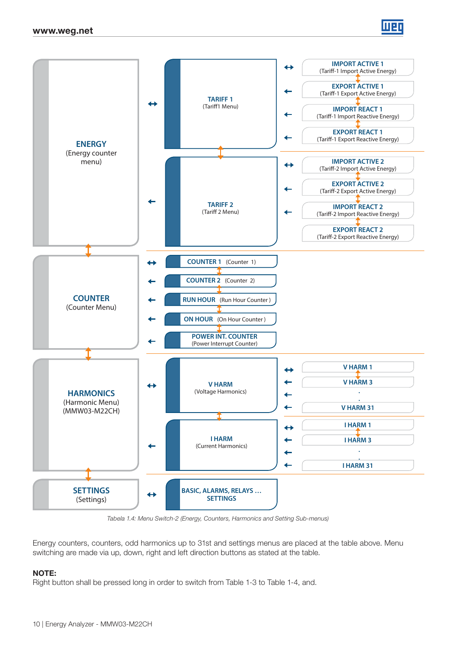



Tabela 1.4: Menu Switch-2 (Energy, Counters, Harmonics and Setting Sub-menus)

Energy counters, counters, odd harmonics up to 31st and settings menus are placed at the table above. Menu switching are made via up, down, right and left direction buttons as stated at the table.

#### NOTE:

Right button shall be pressed long in order to switch from Table 1-3 to Table 1-4, and.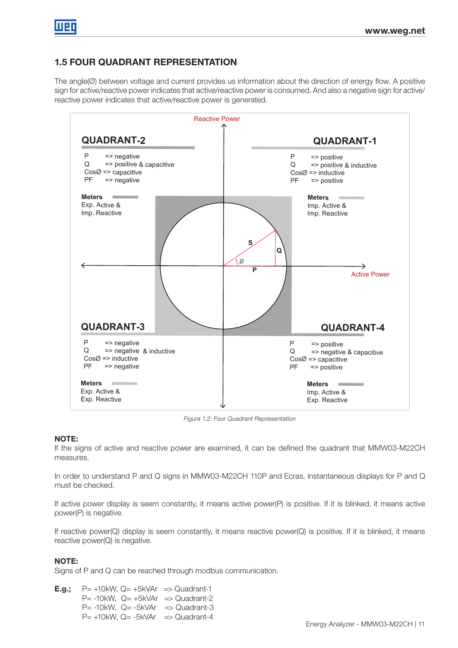# 1.5 FOUR QUADRANT REPRESENTATION

The angle(Ø) between voltage and current provides us information about the direction of energy flow. A positive sign for active/reactive power indicates that active/reactive power is consumed. And also a negative sign for active/ reactive power indicates that active/reactive power is generated.



Figura 1.2: Four Quadrant Representation

## NOTE:

If the signs of active and reactive power are examined, it can be defined the quadrant that MMW03-M22CH measures.

In order to understand P and Q signs in MMW03-M22CH 110P and Ecras, instantaneous displays for P and Q must be checked.

If active power display is seem constantly, it means active power(P) is positive. If it is blinked, it means active power(P) is negative.

If reactive power(Q) display is seem constantly, it means reactive power(Q) is positive. If it is blinked, it means reactive power(Q) is negative.

## NOTE:

Signs of P and Q can be reached through modbus communication.

**E.g.;**  $P = +10kW$ ,  $Q = +5kVAr \Rightarrow Quadrant-1$  $P= -10kW$ ,  $Q= +5kVAr \Rightarrow Quadrant-2$ P= -10kW, Q= -5kVAr => Quadrant-3  $P= +10kW$ , Q=  $-5kVAr \Rightarrow$  Quadrant-4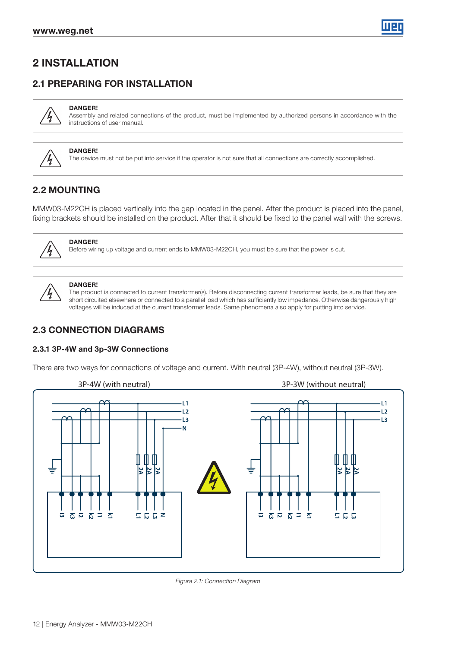# 2 INSTALLATION

# 2.1 PREPARING FOR INSTALLATION



DANGER! Assembly and related connections of the product, must be implemented by authorized persons in accordance with the instructions of user manual.



## DANGER!

The device must not be put into service if the operator is not sure that all connections are correctly accomplished.

# 2.2 MOUNTING

MMW03-M22CH is placed vertically into the gap located in the panel. After the product is placed into the panel, fixing brackets should be installed on the product. After that it should be fixed to the panel wall with the screws.



## DANGER! Before wiring up voltage and current ends to MMW03-M22CH, you must be sure that the power is cut.

## DANGER!

The product is connected to current transformer(s). Before disconnecting current transformer leads, be sure that they are short circuited elsewhere or connected to a parallel load which has sufficiently low impedance. Otherwise dangerously high voltages will be induced at the current transformer leads. Same phenomena also apply for putting into service.

## 2.3 CONNECTION DIAGRAMS

#### 2.3.1 3P-4W and 3p-3W Connections

There are two ways for connections of voltage and current. With neutral (3P-4W), without neutral (3P-3W).





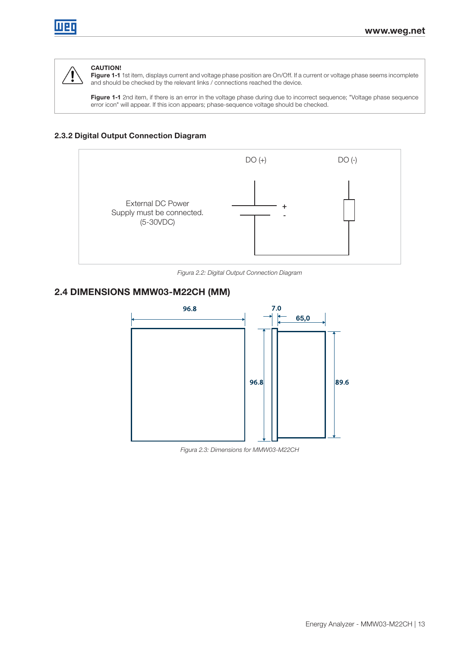

## CAUTION!

Figure 1-1 1st item, displays current and voltage phase position are On/Off. If a current or voltage phase seems incomplete and should be checked by the relevant links / connections reached the device.

Figure 1-1 2nd item, if there is an error in the voltage phase during due to incorrect sequence; "Voltage phase sequence error icon" will appear. If this icon appears; phase-sequence voltage should be checked.

## 2.3.2 Digital Output Connection Diagram



Figura 2.2: Digital Output Connection Diagram

## 2.4 DIMENSIONS MMW03-M22CH (MM)



Figura 2.3: Dimensions for MMW03-M22CH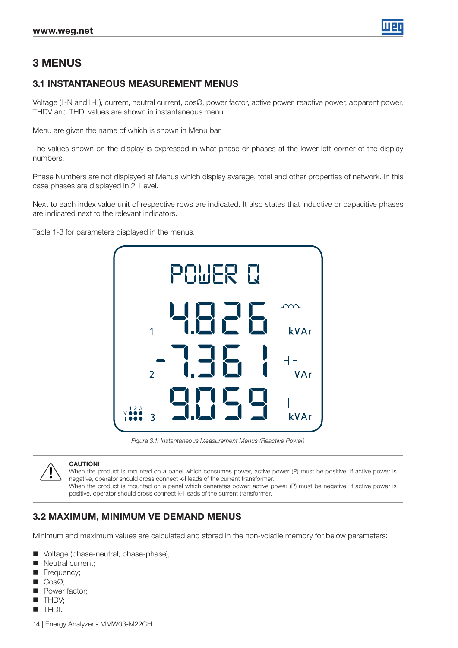

# 3 MENUS

## 3.1 INSTANTANEOUS MEASUREMENT MENUS

Voltage (L-N and L-L), current, neutral current, cosØ, power factor, active power, reactive power, apparent power, THDV and THDI values are shown in instantaneous menu.

Menu are given the name of which is shown in Menu bar.

The values shown on the display is expressed in what phase or phases at the lower left corner of the display numbers.

Phase Numbers are not displayed at Menus which display avarege, total and other properties of network. In this case phases are displayed in 2. Level.

Next to each index value unit of respective rows are indicated. It also states that inductive or capacitive phases are indicated next to the relevant indicators.

Table 1-3 for parameters displayed in the menus.



Figura 3.1: Instantaneous Measurement Menus (Reactive Power)



#### CAUTION!

When the product is mounted on a panel which consumes power, active power (P) must be positive. If active power is negative, operator should cross connect k-l leads of the current transformer. When the product is mounted on a panel which generates power, active power (P) must be negative. If active power is positive, operator should cross connect k-l leads of the current transformer.

## 3.2 MAXIMUM, MINIMUM VE DEMAND MENUS

Minimum and maximum values are calculated and stored in the non-volatile memory for below parameters:

- Voltage (phase-neutral, phase-phase);
- Neutral current;
- Frequency;
- CosØ;
- Power factor;
- **THDV;**
- **THDI.**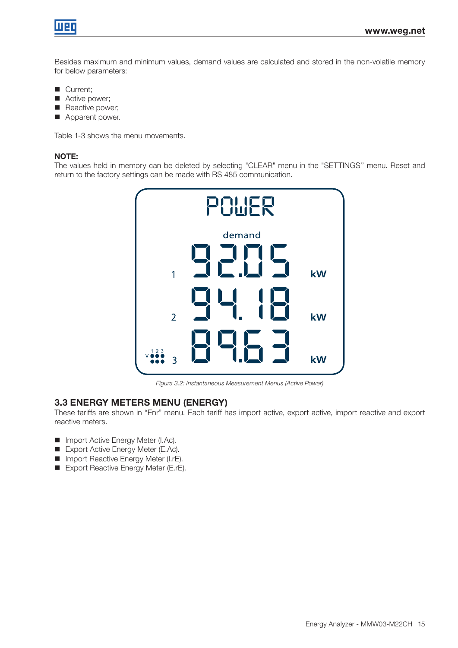

Besides maximum and minimum values, demand values are calculated and stored in the non-volatile memory for below parameters:

- Current;
- Active power;
- Reactive power;
- **Apparent power.**

Table 1-3 shows the menu movements.

## NOTE:

The values held in memory can be deleted by selecting "CLEAR" menu in the "SETTINGS'' menu. Reset and return to the factory settings can be made with RS 485 communication.



Figura 3.2: Instantaneous Measurement Menus (Active Power)

### 3.3 ENERGY METERS MENU (ENERGY)

These tariffs are shown in "Enr" menu. Each tariff has import active, export active, import reactive and export reactive meters.

- Import Active Energy Meter (I.Ac).
- Export Active Energy Meter (E.Ac).
- **Import Reactive Energy Meter (I.rE).**
- Export Reactive Energy Meter (E.rE).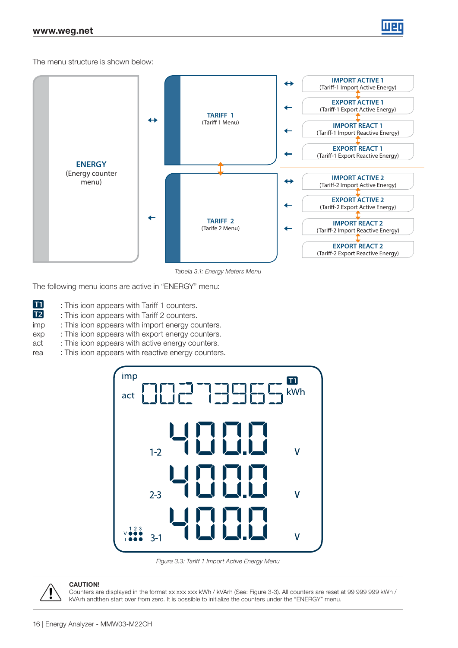

The menu structure is shown below:



Tabela 3.1: Energy Meters Menu

The following menu icons are active in "ENERGY" menu:

- $\boxed{71}$ : This icon appears with Tariff 1 counters.
- $\overline{12}$ : This icon appears with Tariff 2 counters.
- imp : This icon appears with import energy counters.
- exp : This icon appears with export energy counters.
- act : This icon appears with active energy counters.
- rea : This icon appears with reactive energy counters.



Figura 3.3: Tariff 1 Import Active Energy Menu



#### CAUTION!

Counters are displayed in the format xx xxx xxx kWh / kVArh (See: Figure 3-3). All counters are reset at 99 999 999 kWh / kVArh andthen start over from zero. It is possible to initialize the counters under the "ENERGY" menu.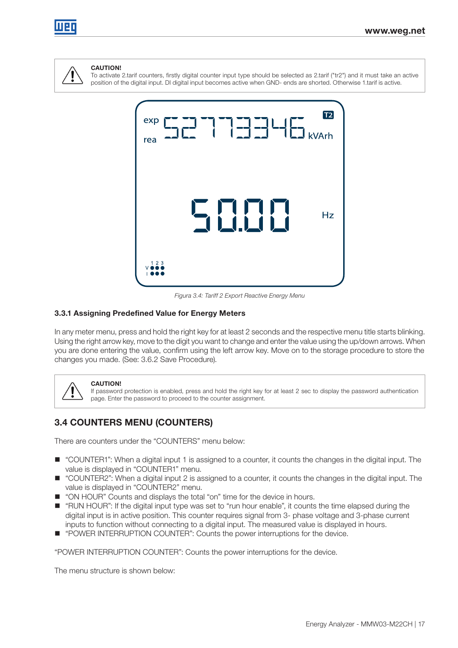



#### CAUTION!

To activate 2.tarif counters, firstly digital counter input type should be selected as 2.tarif ("tr2") and it must take an active position of the digital input. DI digital input becomes active when GND- ends are shorted. Otherwise 1.tarif is active.



Figura 3.4: Tariff 2 Export Reactive Energy Menu

#### 3.3.1 Assigning Predefined Value for Energy Meters

In any meter menu, press and hold the right key for at least 2 seconds and the respective menu title starts blinking. Using the right arrow key, move to the digit you want to change and enter the value using the up/down arrows. When you are done entering the value, confirm using the left arrow key. Move on to the storage procedure to store the changes you made. (See: 3.6.2 Save Procedure).



#### CAUTION!

If password protection is enabled, press and hold the right key for at least 2 sec to display the password authentication page. Enter the password to proceed to the counter assignment.

## 3.4 COUNTERS MENU (COUNTERS)

There are counters under the "COUNTERS" menu below:

- "COUNTER1": When a digital input 1 is assigned to a counter, it counts the changes in the digital input. The value is displayed in "COUNTER1" menu.
- "COUNTER2": When a digital input 2 is assigned to a counter, it counts the changes in the digital input. The value is displayed in "COUNTER2" menu.
- "ON HOUR" Counts and displays the total "on" time for the device in hours.
- "RUN HOUR": If the digital input type was set to "run hour enable", it counts the time elapsed during the digital input is in active position. This counter requires signal from 3- phase voltage and 3-phase current inputs to function without connecting to a digital input. The measured value is displayed in hours.
- "POWER INTERRUPTION COUNTER": Counts the power interruptions for the device.

"POWER INTERRUPTION COUNTER": Counts the power interruptions for the device.

The menu structure is shown below: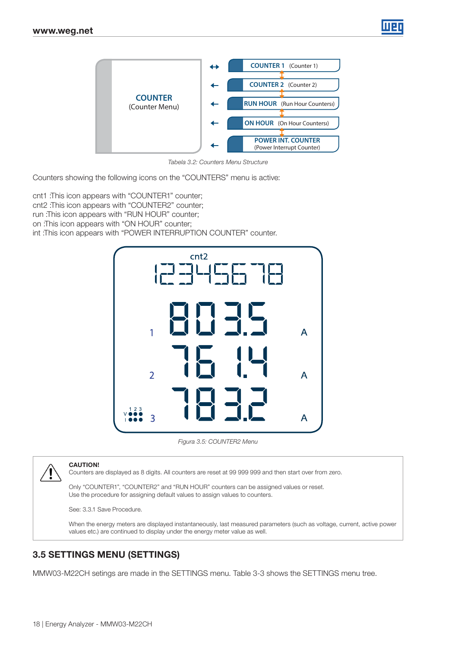

Tabela 3.2: Counters Menu Structure

Counters showing the following icons on the "COUNTERS" menu is active:

cnt1 :This icon appears with "COUNTER1" counter; cnt2 :This icon appears with "COUNTER2" counter; run :This icon appears with "RUN HOUR" counter; on :This icon appears with "ON HOUR" counter; int :This icon appears with "POWER INTERRUPTION COUNTER" counter.



Figura 3.5: COUNTER2 Menu



#### CAUTION!

Counters are displayed as 8 digits. All counters are reset at 99 999 999 and then start over from zero.

Only "COUNTER1", "COUNTER2" and "RUN HOUR" counters can be assigned values or reset. Use the procedure for assigning default values to assign values to counters.

See: 3.3.1 Save Procedure.

When the energy meters are displayed instantaneously, last measured parameters (such as voltage, current, active power values etc.) are continued to display under the energy meter value as well.

## 3.5 SETTINGS MENU (SETTINGS)

MMW03-M22CH setings are made in the SETTINGS menu. Table 3-3 shows the SETTINGS menu tree.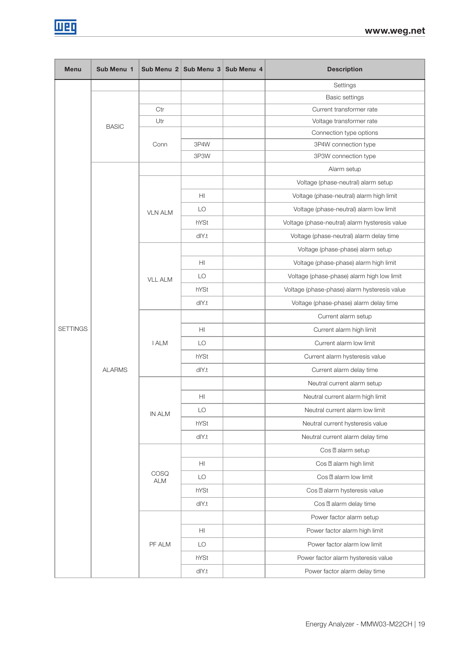

| <b>Menu</b>     | Sub Menu 1    |                | Sub Menu 2   Sub Menu 3   Sub Menu 4 |                       | <b>Description</b>                             |
|-----------------|---------------|----------------|--------------------------------------|-----------------------|------------------------------------------------|
|                 |               |                |                                      |                       | Settings                                       |
|                 |               |                |                                      | <b>Basic settings</b> |                                                |
|                 |               | Ctr            |                                      |                       | Current transformer rate                       |
|                 | <b>BASIC</b>  | Utr            |                                      |                       | Voltage transformer rate                       |
|                 |               |                |                                      |                       | Connection type options                        |
|                 |               | Conn           | 3P4W                                 |                       | 3P4W connection type                           |
|                 |               |                | 3P3W                                 |                       | 3P3W connection type                           |
|                 |               |                |                                      |                       | Alarm setup                                    |
|                 |               |                |                                      |                       | Voltage (phase-neutral) alarm setup            |
|                 |               |                | H <sub>l</sub>                       |                       | Voltage (phase-neutral) alarm high limit       |
|                 |               | <b>VLN ALM</b> | LO                                   |                       | Voltage (phase-neutral) alarm low limit        |
|                 |               |                | hYSt                                 |                       | Voltage (phase-neutral) alarm hysteresis value |
|                 |               |                | dlY.t                                |                       | Voltage (phase-neutral) alarm delay time       |
|                 |               |                |                                      |                       | Voltage (phase-phase) alarm setup              |
|                 |               |                | HI                                   |                       | Voltage (phase-phase) alarm high limit         |
|                 |               | <b>VLL ALM</b> | LO                                   |                       | Voltage (phase-phase) alarm high low limit     |
|                 |               |                | hYSt                                 |                       | Voltage (phase-phase) alarm hysteresis value   |
|                 |               |                | $d$ $Y.t$                            |                       | Voltage (phase-phase) alarm delay time         |
|                 |               |                |                                      |                       | Current alarm setup                            |
| <b>SETTINGS</b> |               |                | H <sub>II</sub>                      |                       | Current alarm high limit                       |
|                 |               | <b>I ALM</b>   | LO                                   |                       | Current alarm low limit                        |
|                 |               |                | hYSt                                 |                       | Current alarm hysteresis value                 |
|                 | <b>ALARMS</b> |                | dlY.t                                |                       | Current alarm delay time                       |
|                 |               | <b>IN ALM</b>  |                                      |                       | Neutral current alarm setup                    |
|                 |               |                | H <sub>II</sub>                      |                       | Neutral current alarm high limit               |
|                 |               |                | LO                                   |                       | Neutral current alarm low limit                |
|                 |               |                | hYSt                                 |                       | Neutral current hysteresis value               |
|                 |               |                | dlY.t                                |                       | Neutral current alarm delay time               |
|                 |               |                |                                      |                       | Cos alarm setup                                |
|                 |               |                | H <sub>II</sub>                      |                       | alarm high limit<br>Cos                        |
|                 |               | <b>COSQ</b>    | LO                                   |                       | alarm low limit<br>Cos                         |
|                 |               | ALM            | hYSt                                 |                       | alarm hysteresis value<br>Cos                  |
|                 |               |                |                                      |                       | Cos alarm delay time                           |
|                 |               |                | dlY.t                                |                       |                                                |
|                 |               |                |                                      |                       | Power factor alarm setup                       |
|                 |               |                | HI                                   |                       | Power factor alarm high limit                  |
|                 |               | PF ALM         | LO                                   |                       | Power factor alarm low limit                   |
|                 |               |                | hYSt                                 |                       | Power factor alarm hysteresis value            |
|                 |               |                | dlY.t                                |                       | Power factor alarm delay time                  |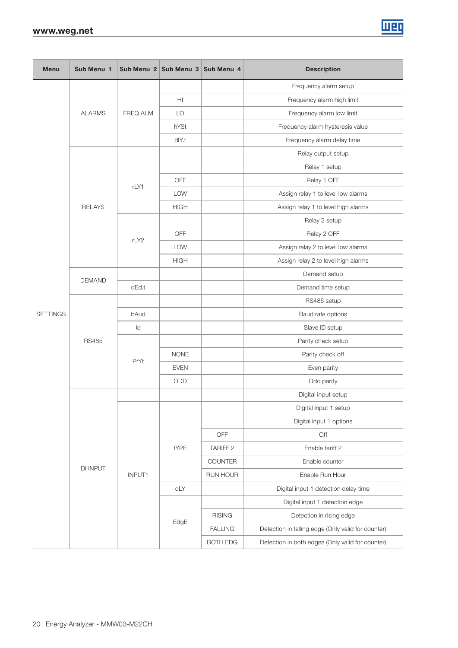| <b>Menu</b>     | Sub Menu 1    |               | Sub Menu 2 Sub Menu 3 Sub Menu 4 |                     | <b>Description</b>                                 |  |  |  |
|-----------------|---------------|---------------|----------------------------------|---------------------|----------------------------------------------------|--|--|--|
|                 |               |               |                                  |                     | Frequency alarm setup                              |  |  |  |
|                 |               |               | H <sub>II</sub>                  |                     | Frequency alarm high limit                         |  |  |  |
|                 | <b>ALARMS</b> | FREQ ALM      | LO                               |                     | Frequency alarm low limit                          |  |  |  |
|                 |               |               | hYSt                             |                     | Frequency alarm hysteresis value                   |  |  |  |
|                 |               |               | dlY.t                            |                     | Frequency alarm delay time                         |  |  |  |
|                 |               |               |                                  |                     | Relay output setup                                 |  |  |  |
|                 |               |               |                                  |                     | Relay 1 setup                                      |  |  |  |
|                 |               | rLY1          | <b>OFF</b>                       |                     | Relay 1 OFF                                        |  |  |  |
|                 |               |               | <b>LOW</b>                       |                     | Assign relay 1 to level low alarms                 |  |  |  |
|                 | <b>RELAYS</b> |               | <b>HIGH</b>                      |                     | Assign relay 1 to level high alarms                |  |  |  |
|                 |               |               |                                  |                     | Relay 2 setup                                      |  |  |  |
|                 |               | rLY2          | OFF                              |                     | Relay 2 OFF                                        |  |  |  |
|                 |               |               | LOW                              |                     | Assign relay 2 to level low alarms                 |  |  |  |
|                 |               |               | <b>HIGH</b>                      |                     | Assign relay 2 to level high alarms                |  |  |  |
|                 | <b>DEMAND</b> |               |                                  |                     | Demand setup                                       |  |  |  |
|                 |               | dEd.t         |                                  |                     | Demand time setup                                  |  |  |  |
|                 |               |               |                                  |                     | RS485 setup                                        |  |  |  |
| <b>SETTINGS</b> |               | bAud          |                                  |                     | Baud rate options                                  |  |  |  |
|                 |               | ld            |                                  |                     | Slave ID setup                                     |  |  |  |
|                 | <b>RS485</b>  | PrYt          |                                  |                     | Parity check setup                                 |  |  |  |
|                 |               |               | <b>NONE</b>                      |                     | Parity check off                                   |  |  |  |
|                 |               |               | <b>EVEN</b>                      |                     | Even parity                                        |  |  |  |
|                 |               |               | ODD                              |                     | Odd parity                                         |  |  |  |
|                 |               |               |                                  |                     | Digital input setup                                |  |  |  |
|                 |               |               |                                  |                     | Digital input 1 setup                              |  |  |  |
|                 |               |               |                                  |                     | Digital input 1 options                            |  |  |  |
|                 |               |               |                                  | OFF                 | Off                                                |  |  |  |
|                 |               |               | tYPE                             | TARIFF <sub>2</sub> | Enable tariff 2                                    |  |  |  |
|                 | DI INPUT      |               |                                  | COUNTER             | Enable counter                                     |  |  |  |
|                 |               | <b>INPUT1</b> |                                  | RUN HOUR            | Enable Run Hour                                    |  |  |  |
|                 |               |               | dLY                              |                     | Digital input 1 detection delay time               |  |  |  |
|                 |               |               |                                  |                     | Digital input 1 detection edge                     |  |  |  |
|                 |               |               |                                  | <b>RISING</b>       | Detection in rising edge                           |  |  |  |
|                 |               |               | EdgE                             | <b>FALLING</b>      | Detection in falling edge (Only valid for counter) |  |  |  |
|                 |               |               |                                  | <b>BOTH EDG</b>     | Detection in both edges (Only valid for counter)   |  |  |  |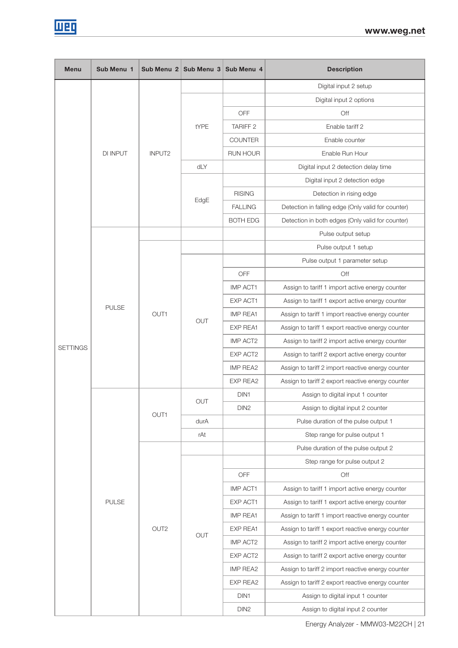

| <b>Menu</b>     | Sub Menu 1      | Sub Menu 2         | Sub Menu 3 | Sub Menu 4       | <b>Description</b>                                 |
|-----------------|-----------------|--------------------|------------|------------------|----------------------------------------------------|
|                 |                 |                    |            |                  | Digital input 2 setup                              |
|                 |                 |                    |            |                  | Digital input 2 options                            |
|                 |                 |                    |            | OFF              | Off                                                |
|                 |                 |                    | tYPE       | <b>TARIFF 2</b>  | Enable tariff 2                                    |
|                 |                 |                    |            | <b>COUNTER</b>   | Enable counter                                     |
|                 | <b>DI INPUT</b> | INPUT <sub>2</sub> |            | RUN HOUR         | Enable Run Hour                                    |
|                 |                 |                    | dLY        |                  | Digital input 2 detection delay time               |
|                 |                 |                    |            |                  | Digital input 2 detection edge                     |
|                 |                 |                    |            | <b>RISING</b>    | Detection in rising edge                           |
|                 |                 |                    | EdgE       | <b>FALLING</b>   | Detection in falling edge (Only valid for counter) |
|                 |                 |                    |            | <b>BOTH EDG</b>  | Detection in both edges (Only valid for counter)   |
|                 |                 |                    |            |                  | Pulse output setup                                 |
|                 |                 |                    |            |                  | Pulse output 1 setup                               |
|                 |                 |                    |            |                  | Pulse output 1 parameter setup                     |
|                 |                 |                    |            | OFF              | Off                                                |
|                 | <b>PULSE</b>    |                    |            | <b>IMP ACT1</b>  | Assign to tariff 1 import active energy counter    |
|                 |                 | OUT1               | <b>OUT</b> | EXP ACT1         | Assign to tariff 1 export active energy counter    |
|                 |                 |                    |            | <b>IMP REA1</b>  | Assign to tariff 1 import reactive energy counter  |
|                 |                 |                    |            | EXP REA1         | Assign to tariff 1 export reactive energy counter  |
| <b>SETTINGS</b> |                 |                    |            | <b>IMP ACT2</b>  | Assign to tariff 2 import active energy counter    |
|                 |                 |                    |            | EXP ACT2         | Assign to tariff 2 export active energy counter    |
|                 |                 |                    |            | <b>IMP REA2</b>  | Assign to tariff 2 import reactive energy counter  |
|                 |                 |                    |            | EXP REA2         | Assign to tariff 2 export reactive energy counter  |
|                 |                 | OUT1               | OUT        | DIN <sub>1</sub> | Assign to digital input 1 counter                  |
|                 |                 |                    |            | DIN <sub>2</sub> | Assign to digital input 2 counter                  |
|                 |                 |                    | durA       |                  | Pulse duration of the pulse output 1               |
|                 |                 |                    | rAt        |                  | Step range for pulse output 1                      |
|                 |                 |                    |            |                  | Pulse duration of the pulse output 2               |
|                 |                 |                    |            |                  | Step range for pulse output 2                      |
|                 |                 |                    |            | OFF              | Off                                                |
|                 |                 |                    |            | IMP ACT1         | Assign to tariff 1 import active energy counter    |
|                 | <b>PULSE</b>    |                    |            | EXP ACT1         | Assign to tariff 1 export active energy counter    |
|                 |                 |                    |            | IMP REA1         | Assign to tariff 1 import reactive energy counter  |
|                 |                 | OUT <sub>2</sub>   | OUT        | EXP REA1         | Assign to tariff 1 export reactive energy counter  |
|                 |                 |                    |            | IMP ACT2         | Assign to tariff 2 import active energy counter    |
|                 |                 |                    |            | EXP ACT2         | Assign to tariff 2 export active energy counter    |
|                 |                 |                    |            | IMP REA2         | Assign to tariff 2 import reactive energy counter  |
|                 |                 |                    |            | EXP REA2         | Assign to tariff 2 export reactive energy counter  |
|                 |                 |                    |            | DIN1             | Assign to digital input 1 counter                  |
|                 |                 |                    |            | DIN <sub>2</sub> | Assign to digital input 2 counter                  |

Energy Analyzer - MMW03-M22CH | 21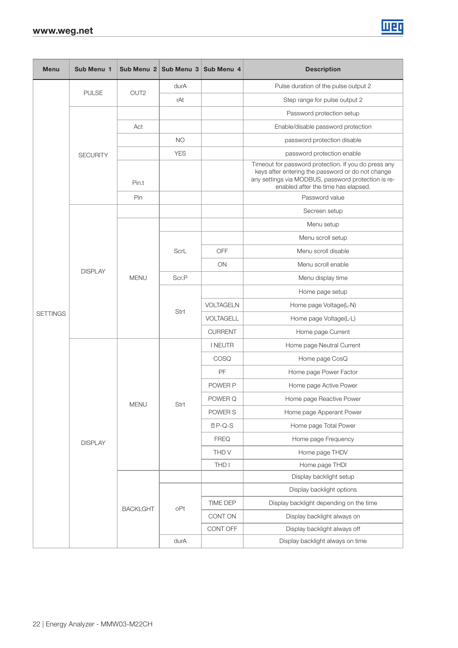| <b>Menu</b>                       | Sub Menu 1      |                 |                                                                                                                                                                                                                                                                                                                                      |                | <b>Description</b>                                                                                                                                                                                      |
|-----------------------------------|-----------------|-----------------|--------------------------------------------------------------------------------------------------------------------------------------------------------------------------------------------------------------------------------------------------------------------------------------------------------------------------------------|----------------|---------------------------------------------------------------------------------------------------------------------------------------------------------------------------------------------------------|
|                                   |                 |                 | durA                                                                                                                                                                                                                                                                                                                                 |                | Pulse duration of the pulse output 2                                                                                                                                                                    |
|                                   | <b>PULSE</b>    |                 | rAt                                                                                                                                                                                                                                                                                                                                  |                | Step range for pulse output 2                                                                                                                                                                           |
|                                   |                 |                 |                                                                                                                                                                                                                                                                                                                                      |                | Password protection setup                                                                                                                                                                               |
|                                   |                 | Act             |                                                                                                                                                                                                                                                                                                                                      |                | Enable/disable password protection                                                                                                                                                                      |
|                                   |                 |                 | <b>NO</b>                                                                                                                                                                                                                                                                                                                            |                | password protection disable                                                                                                                                                                             |
|                                   | <b>SECURITY</b> |                 | <b>YES</b>                                                                                                                                                                                                                                                                                                                           |                | password protection enable                                                                                                                                                                              |
|                                   |                 | Pin.t           |                                                                                                                                                                                                                                                                                                                                      |                | Timeout for password protection. If you do press any<br>keys after entering the password or do not change<br>any settings via MODBUS, password protection is re-<br>enabled after the time has elapsed. |
|                                   |                 | Pin             | Sub Menu 2 Sub Menu 3 Sub Menu 4<br>OUT <sub>2</sub><br>OFF<br>ScrL<br>ON<br><b>MENU</b><br>Scr.P<br><b>VOLTAGELN</b><br>Strt<br><b>VOLTAGELL</b><br><b>CURRENT</b><br><b>INEUTR</b><br>COSQ<br>PF<br>POWER P<br>POWER Q<br><b>MENU</b><br>Strt<br>POWER S<br>$P-Q-S$<br><b>FREQ</b><br>THD V<br>THD I<br>TIME DEP<br>oPt<br>CONT ON | Password value |                                                                                                                                                                                                         |
| <b>DISPLAY</b><br><b>SETTINGS</b> | Secreen setup   |                 |                                                                                                                                                                                                                                                                                                                                      |                |                                                                                                                                                                                                         |
|                                   |                 |                 |                                                                                                                                                                                                                                                                                                                                      |                | Menu setup                                                                                                                                                                                              |
|                                   |                 |                 |                                                                                                                                                                                                                                                                                                                                      |                | Menu scroll setup                                                                                                                                                                                       |
|                                   |                 |                 |                                                                                                                                                                                                                                                                                                                                      |                | Menu scroll disable                                                                                                                                                                                     |
|                                   |                 |                 |                                                                                                                                                                                                                                                                                                                                      |                | Menu scroll enable                                                                                                                                                                                      |
|                                   |                 |                 |                                                                                                                                                                                                                                                                                                                                      |                | Menu display time                                                                                                                                                                                       |
|                                   |                 |                 |                                                                                                                                                                                                                                                                                                                                      |                | Home page setup                                                                                                                                                                                         |
|                                   |                 |                 |                                                                                                                                                                                                                                                                                                                                      |                | Home page Voltage(L-N)                                                                                                                                                                                  |
|                                   |                 |                 |                                                                                                                                                                                                                                                                                                                                      |                | Home page Voltage(L-L)                                                                                                                                                                                  |
|                                   |                 |                 |                                                                                                                                                                                                                                                                                                                                      |                | Home page Current                                                                                                                                                                                       |
|                                   |                 |                 |                                                                                                                                                                                                                                                                                                                                      |                | Home page Neutral Current                                                                                                                                                                               |
|                                   |                 |                 |                                                                                                                                                                                                                                                                                                                                      |                | Home page CosQ                                                                                                                                                                                          |
|                                   |                 |                 |                                                                                                                                                                                                                                                                                                                                      |                | Home page Power Factor                                                                                                                                                                                  |
|                                   |                 |                 |                                                                                                                                                                                                                                                                                                                                      |                | Home page Active Power                                                                                                                                                                                  |
|                                   |                 |                 |                                                                                                                                                                                                                                                                                                                                      |                | Home page Reactive Power                                                                                                                                                                                |
|                                   |                 |                 |                                                                                                                                                                                                                                                                                                                                      |                | Home page Apperant Power                                                                                                                                                                                |
|                                   |                 |                 |                                                                                                                                                                                                                                                                                                                                      |                | Home page Total Power                                                                                                                                                                                   |
|                                   | <b>DISPLAY</b>  |                 |                                                                                                                                                                                                                                                                                                                                      |                | Home page Frequency                                                                                                                                                                                     |
|                                   |                 |                 |                                                                                                                                                                                                                                                                                                                                      |                | Home page THDV                                                                                                                                                                                          |
|                                   |                 |                 |                                                                                                                                                                                                                                                                                                                                      |                | Home page THDI                                                                                                                                                                                          |
|                                   |                 |                 |                                                                                                                                                                                                                                                                                                                                      |                | Display backlight setup                                                                                                                                                                                 |
|                                   |                 |                 |                                                                                                                                                                                                                                                                                                                                      |                | Display backlight options                                                                                                                                                                               |
|                                   |                 | <b>BACKLGHT</b> |                                                                                                                                                                                                                                                                                                                                      |                | Display backlight depending on the time                                                                                                                                                                 |
|                                   |                 |                 |                                                                                                                                                                                                                                                                                                                                      |                | Display backlight always on                                                                                                                                                                             |
|                                   |                 |                 |                                                                                                                                                                                                                                                                                                                                      | CONT OFF       | Display backlight always off                                                                                                                                                                            |
|                                   |                 |                 | durA                                                                                                                                                                                                                                                                                                                                 |                | Display backlight always on time                                                                                                                                                                        |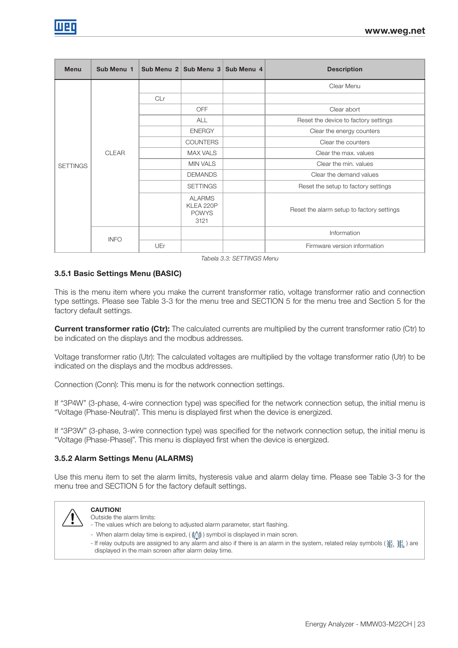| <b>Menu</b>     | Sub Menu 1   |                                                    | Sub Menu 2 Sub Menu 3 Sub Menu 4          | <b>Description</b>                   |
|-----------------|--------------|----------------------------------------------------|-------------------------------------------|--------------------------------------|
|                 |              |                                                    |                                           | Clear Menu                           |
|                 |              | CLr                                                |                                           |                                      |
|                 |              |                                                    | <b>OFF</b>                                | Clear abort                          |
|                 |              |                                                    | <b>ALL</b>                                | Reset the device to factory settings |
|                 |              |                                                    | <b>ENERGY</b>                             | Clear the energy counters            |
|                 | <b>CLEAR</b> |                                                    | <b>COUNTERS</b>                           | Clear the counters                   |
|                 |              |                                                    | <b>MAX VALS</b>                           | Clear the max, values                |
| <b>SETTINGS</b> |              |                                                    | <b>MIN VALS</b>                           | Clear the min, values                |
|                 |              |                                                    | <b>DEMANDS</b>                            | Clear the demand values              |
|                 |              |                                                    | <b>SETTINGS</b>                           | Reset the setup to factory settings  |
|                 |              | <b>ALARMS</b><br>KLEA 220P<br><b>POWYS</b><br>3121 | Reset the alarm setup to factory settings |                                      |
|                 |              |                                                    |                                           | Information                          |
|                 | <b>INFO</b>  | UEr                                                |                                           | Firmware version information         |

Tabela 3.3: SETTINGS Menu

## 3.5.1 Basic Settings Menu (BASIC)

This is the menu item where you make the current transformer ratio, voltage transformer ratio and connection type settings. Please see Table 3-3 for the menu tree and SECTION 5 for the menu tree and Section 5 for the factory default settings.

**Current transformer ratio (Ctr):** The calculated currents are multiplied by the current transformer ratio (Ctr) to be indicated on the displays and the modbus addresses.

Voltage transformer ratio (Utr): The calculated voltages are multiplied by the voltage transformer ratio (Utr) to be indicated on the displays and the modbus addresses.

Connection (Conn): This menu is for the network connection settings.

If "3P4W" (3-phase, 4-wire connection type) was specified for the network connection setup, the initial menu is "Voltage (Phase-Neutral)". This menu is displayed first when the device is energized.

If "3P3W" (3-phase, 3-wire connection type) was specified for the network connection setup, the initial menu is "Voltage (Phase-Phase)". This menu is displayed first when the device is energized.

#### 3.5.2 Alarm Settings Menu (ALARMS)

Use this menu item to set the alarm limits, hysteresis value and alarm delay time. Please see Table 3-3 for the menu tree and SECTION 5 for the factory default settings.



## CAUTION!

Outside the alarm limits:

- The values which are belong to adjusted alarm parameter, start flashing. - When alarm delay time is expired,  $(\langle\!\langle\!\langle \rangle\rangle\!\rangle)$  symbol is displayed in main scren.
- If relay outputs are assigned to any alarm and also if there is an alarm in the system, related relay symbols  $(\{\},\{\},\)$ displayed in the main screen after alarm delay time.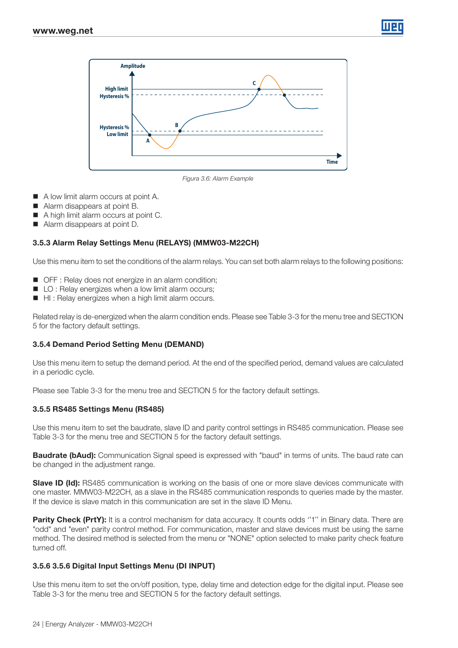



Figura 3.6: Alarm Example

- A low limit alarm occurs at point A.
- Alarm disappears at point B.
- A high limit alarm occurs at point C.
- Alarm disappears at point D.

#### 3.5.3 Alarm Relay Settings Menu (RELAYS) (MMW03-M22CH)

Use this menu item to set the conditions of the alarm relays. You can set both alarm relays to the following positions:

- OFF : Relay does not energize in an alarm condition;
- LO : Relay energizes when a low limit alarm occurs;
- HI: Relay energizes when a high limit alarm occurs.

Related relay is de-energized when the alarm condition ends. Please see Table 3-3 for the menu tree and SECTION 5 for the factory default settings.

#### 3.5.4 Demand Period Setting Menu (DEMAND)

Use this menu item to setup the demand period. At the end of the specified period, demand values are calculated in a periodic cycle.

Please see Table 3-3 for the menu tree and SECTION 5 for the factory default settings.

#### 3.5.5 RS485 Settings Menu (RS485)

Use this menu item to set the baudrate, slave ID and parity control settings in RS485 communication. Please see Table 3-3 for the menu tree and SECTION 5 for the factory default settings.

**Baudrate (bAud):** Communication Signal speed is expressed with "baud" in terms of units. The baud rate can be changed in the adjustment range.

**Slave ID (Id):** RS485 communication is working on the basis of one or more slave devices communicate with one master. MMW03-M22CH, as a slave in the RS485 communication responds to queries made by the master. If the device is slave match in this communication are set in the slave ID Menu.

**Parity Check (PrtY):** It is a control mechanism for data accuracy. It counts odds "1" in Binary data. There are "odd" and "even" parity control method. For communication, master and slave devices must be using the same method. The desired method is selected from the menu or "NONE" option selected to make parity check feature turned off.

#### 3.5.6 3.5.6 Digital Input Settings Menu (DI INPUT)

Use this menu item to set the on/off position, type, delay time and detection edge for the digital input. Please see Table 3-3 for the menu tree and SECTION 5 for the factory default settings.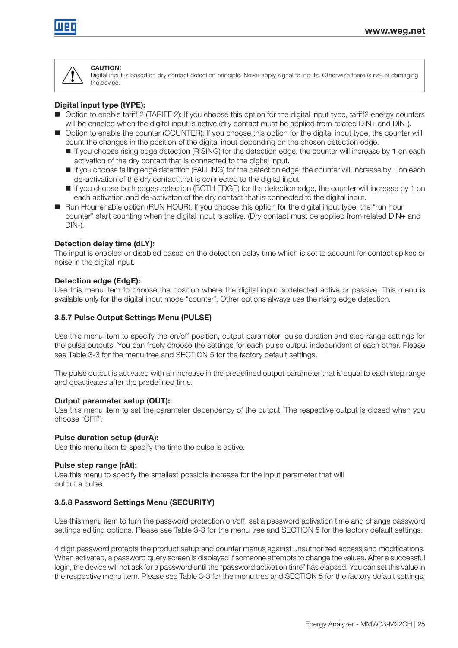

#### **CAUTION!**

Digital input is based on dry contact detection principle. Never apply signal to inputs. Otherwise there is risk of damaging the device.

#### Digital input type (tYPE):

- Option to enable tariff 2 (TARIFF 2): If you choose this option for the digital input type, tariff2 energy counters will be enabled when the digital input is active (dry contact must be applied from related DIN+ and DIN-).
- Option to enable the counter (COUNTER): If you choose this option for the digital input type, the counter will count the changes in the position of the digital input depending on the chosen detection edge.
	- If you choose rising edge detection (RISING) for the detection edge, the counter will increase by 1 on each activation of the dry contact that is connected to the digital input.
	- If you choose falling edge detection (FALLING) for the detection edge, the counter will increase by 1 on each de-activation of the dry contact that is connected to the digital input.
	- If you choose both edges detection (BOTH EDGE) for the detection edge, the counter will increase by 1 on each activation and de-activaton of the dry contact that is connected to the digital input.
- Run Hour enable option (RUN HOUR): If you choose this option for the digital input type, the "run hour counter" start counting when the digital input is active. (Dry contact must be applied from related DIN+ and DIN-).

#### Detection delay time (dLY):

The input is enabled or disabled based on the detection delay time which is set to account for contact spikes or noise in the digital input.

#### Detection edge (EdgE):

Use this menu item to choose the position where the digital input is detected active or passive. This menu is available only for the digital input mode "counter". Other options always use the rising edge detection.

#### 3.5.7 Pulse Output Settings Menu (PULSE)

Use this menu item to specify the on/off position, output parameter, pulse duration and step range settings for the pulse outputs. You can freely choose the settings for each pulse output independent of each other. Please see Table 3-3 for the menu tree and SECTION 5 for the factory default settings.

The pulse output is activated with an increase in the predefined output parameter that is equal to each step range and deactivates after the predefined time.

#### Output parameter setup (OUT):

Use this menu item to set the parameter dependency of the output. The respective output is closed when you choose "OFF".

#### Pulse duration setup (durA):

Use this menu item to specify the time the pulse is active.

#### Pulse step range (rAt):

Use this menu to specify the smallest possible increase for the input parameter that will output a pulse.

#### 3.5.8 Password Settings Menu (SECURITY)

Use this menu item to turn the password protection on/off, set a password activation time and change password settings editing options. Please see Table 3-3 for the menu tree and SECTION 5 for the factory default settings.

4 digit password protects the product setup and counter menus against unauthorized access and modifications. When activated, a password query screen is displayed if someone attempts to change the values. After a successful login, the device will not ask for a password until the "password activation time" has elapsed. You can set this value in the respective menu item. Please see Table 3-3 for the menu tree and SECTION 5 for the factory default settings.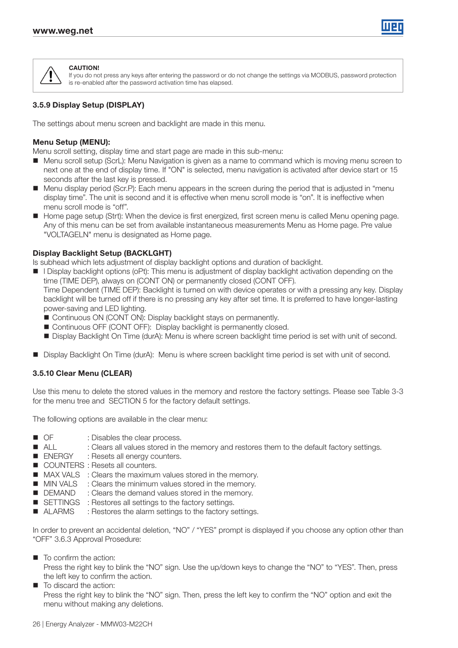



**CAUTION!** If you do not press any keys after entering the password or do not change the settings via MODBUS, password protection is re-enabled after the password activation time has elapsed.

## 3.5.9 Display Setup (DISPLAY)

The settings about menu screen and backlight are made in this menu.

## Menu Setup (MENU):

Menu scroll setting, display time and start page are made in this sub-menu:

- Menu scroll setup (ScrL): Menu Navigation is given as a name to command which is moving menu screen to next one at the end of display time. If "ON" is selected, menu navigation is activated after device start or 15 seconds after the last key is pressed.
- Menu display period (Scr.P): Each menu appears in the screen during the period that is adjusted in "menu display time". The unit is second and it is effective when menu scroll mode is "on". It is ineffective when menu scroll mode is "off".
- Home page setup (Strt): When the device is first energized, first screen menu is called Menu opening page. Any of this menu can be set from available instantaneous measurements Menu as Home page. Pre value "VOLTAGELN" menu is designated as Home page.

## Display Backlight Setup (BACKLGHT)

Is subhead which lets adjustment of display backlight options and duration of backlight.

**I** Display backlight options (oPt): This menu is adjustment of display backlight activation depending on the time (TIME DEP), always on (CONT ON) or permanently closed (CONT OFF).

Time Dependent (TIME DEP): Backlight is turned on with device operates or with a pressing any key. Display backlight will be turned off if there is no pressing any key after set time. It is preferred to have longer-lasting power-saving and LED lighting.

- Continuous ON (CONT ON): Display backlight stays on permanently.
- Continuous OFF (CONT OFF): Display backlight is permanently closed.
- Display Backlight On Time (durA): Menu is where screen backlight time period is set with unit of second.
- Display Backlight On Time (durA): Menu is where screen backlight time period is set with unit of second.

#### 3.5.10 Clear Menu (CLEAR)

Use this menu to delete the stored values in the memory and restore the factory settings. Please see Table 3-3 for the menu tree and SECTION 5 for the factory default settings.

The following options are available in the clear menu:

- OF : Disables the clear process.
- ALL : Clears all values stored in the memory and restores them to the default factory settings.
- ENERGY : Resets all energy counters.
- COUNTERS : Resets all counters.
- **MAX VALS** : Clears the maximum values stored in the memory.
- **MIN VALS** : Clears the minimum values stored in the memory.
- **DEMAND** : Clears the demand values stored in the memory.
- SETTINGS : Restores all settings to the factory settings.
- ALARMS : Restores the alarm settings to the factory settings.

In order to prevent an accidental deletion, "NO" / "YES" prompt is displayed if you choose any option other than "OFF" 3.6.3 Approval Prosedure:

 $\blacksquare$  To confirm the action:

Press the right key to blink the "NO" sign. Use the up/down keys to change the "NO" to "YES". Then, press the left key to confirm the action.

■ To discard the action: Press the right key to blink the "NO" sign. Then, press the left key to confirm the "NO" option and exit the menu without making any deletions.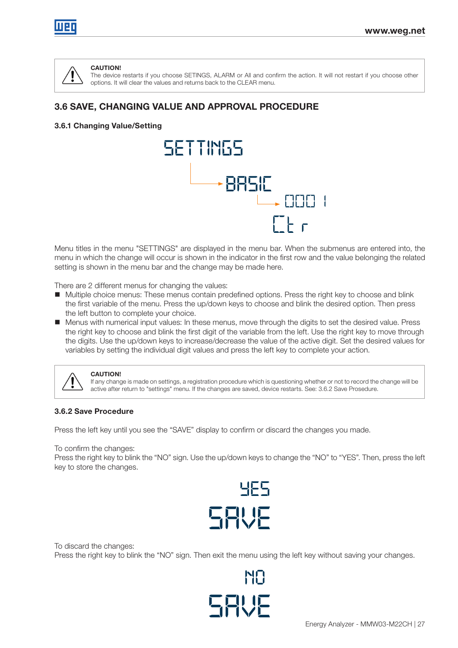

# CAUTION!

The device restarts if you choose SETINGS, ALARM or All and confirm the action. It will not restart if you choose other options. It will clear the values and returns back to the CLEAR menu.

# 3.6 SAVE, CHANGING VALUE AND APPROVAL PROCEDURE

## 3.6.1 Changing Value/Setting



Menu titles in the menu "SETTINGS" are displayed in the menu bar. When the submenus are entered into, the menu in which the change will occur is shown in the indicator in the first row and the value belonging the related setting is shown in the menu bar and the change may be made here.

There are 2 different menus for changing the values:

- Multiple choice menus: These menus contain predefined options. Press the right key to choose and blink the first variable of the menu. Press the up/down keys to choose and blink the desired option. Then press the left button to complete your choice.
- Menus with numerical input values: In these menus, move through the digits to set the desired value. Press the right key to choose and blink the first digit of the variable from the left. Use the right key to move through the digits. Use the up/down keys to increase/decrease the value of the active digit. Set the desired values for variables by setting the individual digit values and press the left key to complete your action.



#### CAUTION!

If any change is made on settings, a registration procedure which is questioning whether or not to record the change will be active after return to "settings" menu. If the changes are saved, device restarts. See: 3.6.2 Save Prosedure.

#### 3.6.2 Save Procedure

Press the left key until you see the "SAVE" display to confirm or discard the changes you made.

To confirm the changes:

Press the right key to blink the "NO" sign. Use the up/down keys to change the "NO" to "YES". Then, press the left key to store the changes.



To discard the changes: Press the right key to blink the "NO" sign. Then exit the menu using the left key without saving your changes.

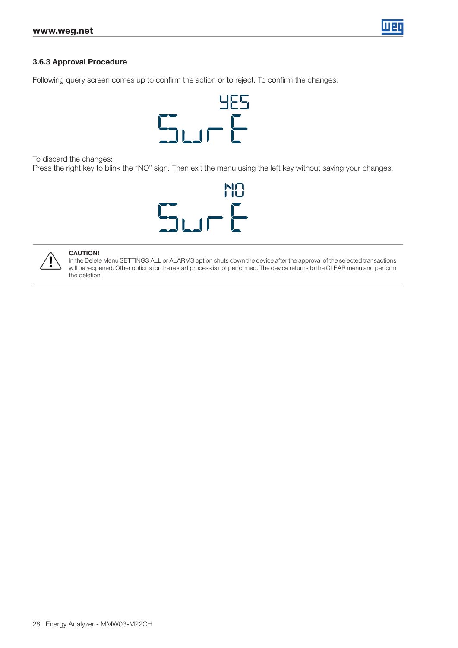

#### 3.6.3 Approval Procedure

Following query screen comes up to confirm the action or to reject. To confirm the changes:



To discard the changes:

Press the right key to blink the "NO" sign. Then exit the menu using the left key without saving your changes.





#### CAUTION!

In the Delete Menu SETTINGS ALL or ALARMS option shuts down the device after the approval of the selected transactions will be reopened. Other options for the restart process is not performed. The device returns to the CLEAR menu and perform the deletion.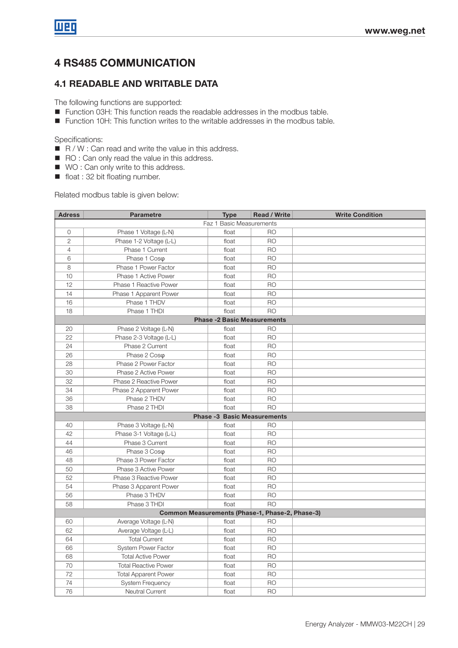# 4 RS485 COMMUNICATION

## 4.1 READABLE AND WRITABLE DATA

The following functions are supported:

- Function 03H: This function reads the readable addresses in the modbus table.
- Function 10H: This function writes to the writable addresses in the modbus table.

Specifications:

- $R / W$ : Can read and write the value in this address.
- RO : Can only read the value in this address.
- WO : Can only write to this address.
- float : 32 bit floating number.

Related modbus table is given below:

| <b>Adress</b>            | <b>Parametre</b>                                | <b>Type</b>                        | <b>Read / Write</b> | <b>Write Condition</b> |  |  |  |  |  |
|--------------------------|-------------------------------------------------|------------------------------------|---------------------|------------------------|--|--|--|--|--|
| Faz 1 Basic Measurements |                                                 |                                    |                     |                        |  |  |  |  |  |
| $\circ$                  | Phase 1 Voltage (L-N)                           | float                              | <b>RO</b>           |                        |  |  |  |  |  |
| $\overline{2}$           | Phase 1-2 Voltage (L-L)                         | float                              | <b>RO</b>           |                        |  |  |  |  |  |
| $\overline{4}$           | Phase 1 Current                                 | float                              | <b>RO</b>           |                        |  |  |  |  |  |
| 6                        | Phase 1 Coso                                    | float                              | <b>RO</b>           |                        |  |  |  |  |  |
| 8                        | Phase 1 Power Factor                            | float                              | <b>RO</b>           |                        |  |  |  |  |  |
| 10                       | Phase 1 Active Power                            | float                              | <b>RO</b>           |                        |  |  |  |  |  |
| 12                       | Phase 1 Reactive Power                          | float                              | <b>RO</b>           |                        |  |  |  |  |  |
| 14                       | Phase 1 Apparent Power                          | float                              | <b>RO</b>           |                        |  |  |  |  |  |
| 16                       | Phase 1 THDV                                    | float                              | <b>RO</b>           |                        |  |  |  |  |  |
| 18                       | Phase 1 THDI                                    | float                              | <b>RO</b>           |                        |  |  |  |  |  |
|                          |                                                 | <b>Phase -2 Basic Measurements</b> |                     |                        |  |  |  |  |  |
| 20                       | Phase 2 Voltage (L-N)                           | float                              | <b>RO</b>           |                        |  |  |  |  |  |
| 22                       | Phase 2-3 Voltage (L-L)                         | float                              | <b>RO</b>           |                        |  |  |  |  |  |
| 24                       | Phase 2 Current                                 | float                              | <b>RO</b>           |                        |  |  |  |  |  |
| 26                       | Phase 2 Coso                                    | float                              | <b>RO</b>           |                        |  |  |  |  |  |
| 28                       | Phase 2 Power Factor                            | float                              | R <sub>O</sub>      |                        |  |  |  |  |  |
| 30                       | Phase 2 Active Power                            | float                              | <b>RO</b>           |                        |  |  |  |  |  |
| 32                       | Phase 2 Reactive Power                          | float                              | <b>RO</b>           |                        |  |  |  |  |  |
| 34                       | Phase 2 Apparent Power                          | float                              | <b>RO</b>           |                        |  |  |  |  |  |
| 36                       | Phase 2 THDV                                    | float                              | <b>RO</b>           |                        |  |  |  |  |  |
| 38                       | Phase 2 THDI                                    | float                              | <b>RO</b>           |                        |  |  |  |  |  |
|                          |                                                 | <b>Phase -3 Basic Measurements</b> |                     |                        |  |  |  |  |  |
| 40                       | Phase 3 Voltage (L-N)                           | float                              | <b>RO</b>           |                        |  |  |  |  |  |
| 42                       | Phase 3-1 Voltage (L-L)                         | float                              | <b>RO</b>           |                        |  |  |  |  |  |
| 44                       | Phase 3 Current                                 | float                              | <b>RO</b>           |                        |  |  |  |  |  |
| 46                       | Phase 3 Coso                                    | float                              | <b>RO</b>           |                        |  |  |  |  |  |
| 48                       | Phase 3 Power Factor                            | float                              | <b>RO</b>           |                        |  |  |  |  |  |
| 50                       | Phase 3 Active Power                            | float                              | <b>RO</b>           |                        |  |  |  |  |  |
| 52                       | Phase 3 Reactive Power                          | float                              | <b>RO</b>           |                        |  |  |  |  |  |
| 54                       | Phase 3 Apparent Power                          | float                              | <b>RO</b>           |                        |  |  |  |  |  |
| 56                       | Phase 3 THDV                                    | float                              | <b>RO</b>           |                        |  |  |  |  |  |
| 58                       | Phase 3 THDI                                    | float                              | <b>RO</b>           |                        |  |  |  |  |  |
|                          | Common Measurements (Phase-1, Phase-2, Phase-3) |                                    |                     |                        |  |  |  |  |  |
| 60                       | Average Voltage (L-N)                           | float                              | R <sub>O</sub>      |                        |  |  |  |  |  |
| 62                       | Average Voltage (L-L)                           | float                              | <b>RO</b>           |                        |  |  |  |  |  |
| 64                       | <b>Total Current</b>                            | float                              | <b>RO</b>           |                        |  |  |  |  |  |
| 66                       | System Power Factor                             | float                              | <b>RO</b>           |                        |  |  |  |  |  |
| 68                       | <b>Total Active Power</b>                       | float                              | <b>RO</b>           |                        |  |  |  |  |  |
| 70                       | <b>Total Reactive Power</b>                     | float                              | <b>RO</b>           |                        |  |  |  |  |  |
| 72                       | <b>Total Apparent Power</b>                     | float                              | <b>RO</b>           |                        |  |  |  |  |  |
| 74                       | System Frequency                                | float                              | <b>RO</b>           |                        |  |  |  |  |  |
| 76                       | <b>Neutral Current</b>                          | float                              | <b>RO</b>           |                        |  |  |  |  |  |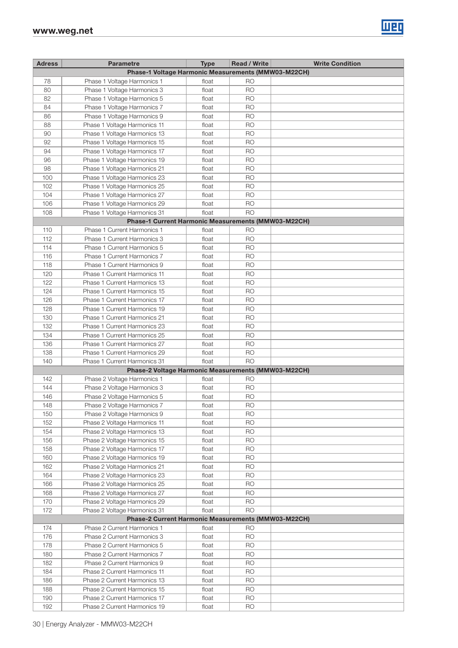

| <b>Adress</b> | <b>Parametre</b>                                    | <b>Type</b> | <b>Read / Write</b> | <b>Write Condition</b> |
|---------------|-----------------------------------------------------|-------------|---------------------|------------------------|
|               | Phase-1 Voltage Harmonic Measurements (MMW03-M22CH) |             |                     |                        |
| 78            | Phase 1 Voltage Harmonics 1                         | float       | R <sub>O</sub>      |                        |
| 80            | Phase 1 Voltage Harmonics 3                         | float       | <b>RO</b>           |                        |
| 82            | Phase 1 Voltage Harmonics 5                         | float       | <b>RO</b>           |                        |
| 84            |                                                     | float       | <b>RO</b>           |                        |
|               | Phase 1 Voltage Harmonics 7                         |             |                     |                        |
| 86            | Phase 1 Voltage Harmonics 9                         | float       | <b>RO</b>           |                        |
| 88            | Phase 1 Voltage Harmonics 11                        | float       | R <sub>O</sub>      |                        |
| 90            | Phase 1 Voltage Harmonics 13                        | float       | <b>RO</b>           |                        |
| 92            | Phase 1 Voltage Harmonics 15                        | float       | <b>RO</b>           |                        |
| 94            | Phase 1 Voltage Harmonics 17                        | float       | R <sub>O</sub>      |                        |
| 96            | Phase 1 Voltage Harmonics 19                        | float       | <b>RO</b>           |                        |
| 98            | Phase 1 Voltage Harmonics 21                        | float       | <b>RO</b>           |                        |
| 100           | Phase 1 Voltage Harmonics 23                        | float       | <b>RO</b>           |                        |
| 102           | Phase 1 Voltage Harmonics 25                        | float       | <b>RO</b>           |                        |
| 104           | Phase 1 Voltage Harmonics 27                        | float       | <b>RO</b>           |                        |
| 106           | Phase 1 Voltage Harmonics 29                        | float       | <b>RO</b>           |                        |
| 108           | Phase 1 Voltage Harmonics 31                        | float       | <b>RO</b>           |                        |
|               | Phase-1 Current Harmonic Measurements (MMW03-M22CH) |             |                     |                        |
| 110           | Phase 1 Current Harmonics 1                         | float       | R <sub>O</sub>      |                        |
| 112           | Phase 1 Current Harmonics 3                         | float       | <b>RO</b>           |                        |
| 114           | Phase 1 Current Harmonics 5                         | float       | <b>RO</b>           |                        |
| 116           | Phase 1 Current Harmonics 7                         | float       | <b>RO</b>           |                        |
| 118           |                                                     |             | <b>RO</b>           |                        |
|               | Phase 1 Current Harmonics 9                         | float       |                     |                        |
| 120           | Phase 1 Current Harmonics 11                        | float       | <b>RO</b>           |                        |
| 122           | Phase 1 Current Harmonics 13                        | float       | R <sub>O</sub>      |                        |
| 124           | Phase 1 Current Harmonics 15                        | float       | <b>RO</b>           |                        |
| 126           | Phase 1 Current Harmonics 17                        | float       | <b>RO</b>           |                        |
| 128           | Phase 1 Current Harmonics 19                        | float       | R <sub>O</sub>      |                        |
| 130           | Phase 1 Current Harmonics 21                        | float       | R <sub>O</sub>      |                        |
| 132           | Phase 1 Current Harmonics 23                        | float       | <b>RO</b>           |                        |
| 134           | Phase 1 Current Harmonics 25                        | float       | <b>RO</b>           |                        |
| 136           | Phase 1 Current Harmonics 27                        | float       | <b>RO</b>           |                        |
| 138           | Phase 1 Current Harmonics 29                        | float       | <b>RO</b>           |                        |
| 140           | Phase 1 Current Harmonics 31                        | float       | <b>RO</b>           |                        |
|               | Phase-2 Voltage Harmonic Measurements (MMW03-M22CH) |             |                     |                        |
| 142           | Phase 2 Voltage Harmonics 1                         | float       | R <sub>O</sub>      |                        |
| 144           | Phase 2 Voltage Harmonics 3                         | float       | <b>RO</b>           |                        |
| 146           | Phase 2 Voltage Harmonics 5                         | float       | <b>RO</b>           |                        |
| 148           | Phase 2 Voltage Harmonics 7                         | float       | <b>RO</b>           |                        |
| 150           | Phase 2 Voltage Harmonics 9                         | float       | <b>RO</b>           |                        |
| 152           | Phase 2 Voltage Harmonics 11                        | float       | <b>RO</b>           |                        |
| 154           | Phase 2 Voltage Harmonics 13                        | float       | <b>RO</b>           |                        |
|               |                                                     |             |                     |                        |
| 156           | Phase 2 Voltage Harmonics 15                        | float       | <b>RO</b>           |                        |
| 158           | Phase 2 Voltage Harmonics 17                        | float       | <b>RO</b>           |                        |
| 160           | Phase 2 Voltage Harmonics 19                        | float       | <b>RO</b>           |                        |
| 162           | Phase 2 Voltage Harmonics 21                        | float       | <b>RO</b>           |                        |
| 164           | Phase 2 Voltage Harmonics 23                        | float       | <b>RO</b>           |                        |
| 166           | Phase 2 Voltage Harmonics 25                        | float       | <b>RO</b>           |                        |
| 168           | Phase 2 Voltage Harmonics 27                        | float       | <b>RO</b>           |                        |
| 170           | Phase 2 Voltage Harmonics 29                        | float       | <b>RO</b>           |                        |
| 172           | Phase 2 Voltage Harmonics 31                        | float       | <b>RO</b>           |                        |
|               | Phase-2 Current Harmonic Measurements (MMW03-M22CH) |             |                     |                        |
| 174           | Phase 2 Current Harmonics 1                         | float       | <b>RO</b>           |                        |
| 176           | Phase 2 Current Harmonics 3                         | float       | <b>RO</b>           |                        |
| 178           | Phase 2 Current Harmonics 5                         | float       | <b>RO</b>           |                        |
| 180           | Phase 2 Current Harmonics 7                         | float       | <b>RO</b>           |                        |
| 182           | Phase 2 Current Harmonics 9                         | float       | <b>RO</b>           |                        |
| 184           | Phase 2 Current Harmonics 11                        | float       | <b>RO</b>           |                        |
| 186           | Phase 2 Current Harmonics 13                        | float       | <b>RO</b>           |                        |
| 188           | Phase 2 Current Harmonics 15                        | float       | <b>RO</b>           |                        |
| 190           | Phase 2 Current Harmonics 17                        | float       | <b>RO</b>           |                        |
| 192           | Phase 2 Current Harmonics 19                        | float       | <b>RO</b>           |                        |
|               |                                                     |             |                     |                        |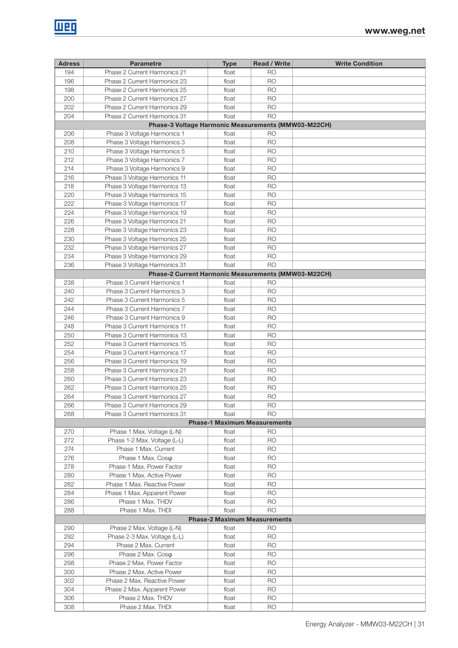| <b>Adress</b> | <b>Parametre</b>                                    | <b>Type</b>                         | <b>Read / Write</b> | <b>Write Condition</b> |
|---------------|-----------------------------------------------------|-------------------------------------|---------------------|------------------------|
| 194           | Phase 2 Current Harmonics 21                        | float                               | R <sub>O</sub>      |                        |
| 196           | Phase 2 Current Harmonics 23                        | float                               | <b>RO</b>           |                        |
| 198           | Phase 2 Current Harmonics 25                        | float                               | R <sub>O</sub>      |                        |
| 200           | Phase 2 Current Harmonics 27                        | float                               | <b>RO</b>           |                        |
| 202           | Phase 2 Current Harmonics 29                        | float                               | <b>RO</b>           |                        |
| 204           | Phase 2 Current Harmonics 31                        | float                               | <b>RO</b>           |                        |
|               | Phase-3 Voltage Harmonic Measurements (MMW03-M22CH) |                                     |                     |                        |
|               |                                                     |                                     | R <sub>O</sub>      |                        |
| 206           | Phase 3 Voltage Harmonics 1                         | float                               |                     |                        |
| 208           | Phase 3 Voltage Harmonics 3                         | float                               | R <sub>O</sub>      |                        |
| 210           | Phase 3 Voltage Harmonics 5                         | float                               | <b>RO</b>           |                        |
| 212           | Phase 3 Voltage Harmonics 7                         | float                               | <b>RO</b>           |                        |
| 214           | Phase 3 Voltage Harmonics 9                         | float                               | <b>RO</b>           |                        |
| 216           | Phase 3 Voltage Harmonics 11                        | float                               | <b>RO</b>           |                        |
| 218           | Phase 3 Voltage Harmonics 13                        | float                               | <b>RO</b>           |                        |
| 220           | Phase 3 Voltage Harmonics 15                        | float                               | <b>RO</b>           |                        |
| 222           | Phase 3 Voltage Harmonics 17                        | float                               | <b>RO</b>           |                        |
| 224           | Phase 3 Voltage Harmonics 19                        | float                               | <b>RO</b>           |                        |
| 226           | Phase 3 Voltage Harmonics 21                        | float                               | <b>RO</b>           |                        |
| 228           | Phase 3 Voltage Harmonics 23                        | float                               | <b>RO</b>           |                        |
| 230           | Phase 3 Voltage Harmonics 25                        | float                               | <b>RO</b>           |                        |
| 232           | Phase 3 Voltage Harmonics 27                        | float                               | <b>RO</b>           |                        |
| 234           | Phase 3 Voltage Harmonics 29                        | float                               | <b>RO</b>           |                        |
| 236           | Phase 3 Voltage Harmonics 31                        | float                               | <b>RO</b>           |                        |
|               |                                                     |                                     |                     |                        |
|               | Phase-2 Current Harmonic Measurements (MMW03-M22CH) |                                     |                     |                        |
| 238           | Phase 3 Current Harmonics 1                         | float                               | R <sub>O</sub>      |                        |
| 240           | Phase 3 Current Harmonics 3                         | float                               | <b>RO</b>           |                        |
| 242           | Phase 3 Current Harmonics 5                         | float                               | <b>RO</b>           |                        |
| 244           | Phase 3 Current Harmonics 7                         | float                               | R <sub>O</sub>      |                        |
| 246           | Phase 3 Current Harmonics 9                         | float                               | <b>RO</b>           |                        |
| 248           | Phase 3 Current Harmonics 11                        | float                               | R <sub>O</sub>      |                        |
| 250           | Phase 3 Current Harmonics 13                        | float                               | R <sub>O</sub>      |                        |
| 252           | Phase 3 Current Harmonics 15                        | float                               | <b>RO</b>           |                        |
| 254           | Phase 3 Current Harmonics 17                        | float                               | <b>RO</b>           |                        |
| 256           | Phase 3 Current Harmonics 19                        | float                               | <b>RO</b>           |                        |
| 258           | Phase 3 Current Harmonics 21                        | float                               | <b>RO</b>           |                        |
| 260           | Phase 3 Current Harmonics 23                        | float                               | R <sub>O</sub>      |                        |
| 262           | Phase 3 Current Harmonics 25                        | float                               | <b>RO</b>           |                        |
| 264           | Phase 3 Current Harmonics 27                        | float                               | R <sub>O</sub>      |                        |
| 266           | Phase 3 Current Harmonics 29                        |                                     | <b>RO</b>           |                        |
|               |                                                     | float                               |                     |                        |
| 268           | Phase 3 Current Harmonics 31                        | float                               | <b>RO</b>           |                        |
|               |                                                     | <b>Phase-1 Maximum Measurements</b> |                     |                        |
| 270           | Phase 1 Max. Voltage (L-N)                          | float                               | R <sub>O</sub>      |                        |
| 272           | Phase 1-2 Max. Voltage (L-L)                        | float                               | <b>RO</b>           |                        |
| 274           | Phase 1 Max. Current                                | float                               | R <sub>O</sub>      |                        |
| 276           | Phase 1 Max. Coso                                   | float                               | <b>RO</b>           |                        |
| 278           | Phase 1 Max. Power Factor                           | float                               | <b>RO</b>           |                        |
| 280           | Phase 1 Max. Active Power                           | float                               | <b>RO</b>           |                        |
| 282           | Phase 1 Max. Reactive Power                         | float                               | <b>RO</b>           |                        |
| 284           | Phase 1 Max. Apparent Power                         | float                               | R <sub>O</sub>      |                        |
| 286           | Phase 1 Max. THDV                                   | float                               | <b>RO</b>           |                        |
| 288           | Phase 1 Max. THDI                                   | float                               | <b>RO</b>           |                        |
|               |                                                     | <b>Phase-2 Maximum Measurements</b> |                     |                        |
| 290           | Phase 2 Max. Voltage (L-N)                          | float                               | R <sub>O</sub>      |                        |
| 292           | Phase 2-3 Max. Voltage (L-L)                        | float                               | R <sub>O</sub>      |                        |
| 294           | Phase 2 Max. Current                                |                                     | <b>RO</b>           |                        |
|               |                                                     | float                               |                     |                        |
| 296           | Phase 2 Max. Cosp                                   | float                               | <b>RO</b>           |                        |
| 298           | Phase 2 Max. Power Factor                           | float                               | <b>RO</b>           |                        |
| 300           | Phase 2 Max. Active Power                           | float                               | <b>RO</b>           |                        |
| 302           | Phase 2 Max. Reactive Power                         | float                               | R <sub>O</sub>      |                        |
| 304           | Phase 2 Max. Apparent Power                         | float                               | <b>RO</b>           |                        |
| 306           | Phase 2 Max. THDV                                   | float                               | <b>RO</b>           |                        |
| 308           | Phase 2 Max. THDI                                   | float                               | <b>RO</b>           |                        |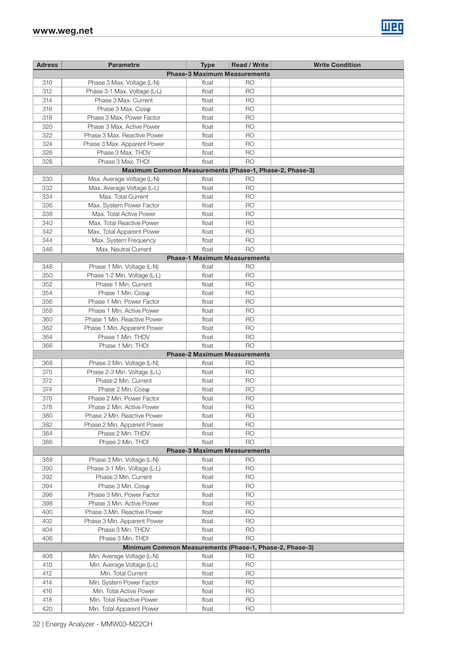

| <b>Adress</b> | <b>Parametre</b>                                        | <b>Type</b>                         | <b>Read / Write</b> | <b>Write Condition</b> |
|---------------|---------------------------------------------------------|-------------------------------------|---------------------|------------------------|
|               |                                                         | <b>Phase-3 Maximum Measurements</b> |                     |                        |
| 310           | Phase 3 Max. Voltage (L-N)                              | float                               | R <sub>O</sub>      |                        |
| 312           | Phase 3-1 Max. Voltage (L-L)                            | float                               | R <sub>O</sub>      |                        |
| 314           | Phase 3 Max. Current                                    | float                               | <b>RO</b>           |                        |
| 316           | Phase 3 Max. Coso                                       | float                               | <b>RO</b>           |                        |
| 318           | Phase 3 Max, Power Factor                               | float                               | <b>RO</b>           |                        |
| 320           | Phase 3 Max, Active Power                               | float                               | <b>RO</b>           |                        |
| 322           | Phase 3 Max, Reactive Power                             | float                               | <b>RO</b>           |                        |
| 324           | Phase 3 Max. Apparent Power                             | float                               | <b>RO</b>           |                        |
| 326           | Phase 3 Max, THDV                                       | float                               | <b>RO</b>           |                        |
| 328           | Phase 3 Max, THDI                                       | float                               | <b>RO</b>           |                        |
|               | Maximum Common Measurements (Phase-1, Phase-2, Phase-3) |                                     |                     |                        |
| 330           | Max. Average Voltage (L-N)                              | float                               | R <sub>O</sub>      |                        |
| 332           | Max. Average Voltage (L-L)                              | float                               | <b>RO</b>           |                        |
| 334           | Max. Total Current                                      | float                               | <b>RO</b>           |                        |
| 336           | Max. System Power Factor                                | float                               | <b>RO</b>           |                        |
| 338           | Max. Total Active Power                                 | float                               | <b>RO</b>           |                        |
| 340           | Max. Total Reactive Power                               | float                               | <b>RO</b>           |                        |
| 342           | Max. Total Apparent Power                               | float                               | <b>RO</b>           |                        |
| 344           | Max. System Frequency                                   | float                               | <b>RO</b>           |                        |
| 346           | Max. Neutral Current                                    | float                               | <b>RO</b>           |                        |
|               |                                                         | <b>Phase-1 Maximum Measurements</b> |                     |                        |
| 348           | Phase 1 Min. Voltage (L-N)                              | float                               | RO                  |                        |
| 350           | Phase 1-2 Min. Voltage (L-L)                            | float                               | <b>RO</b>           |                        |
| 352           | Phase 1 Min. Current                                    | float                               | <b>RO</b>           |                        |
| 354           | Phase 1 Min. Coso                                       | float                               | <b>RO</b>           |                        |
| 356           | Phase 1 Min. Power Factor                               | float                               | <b>RO</b>           |                        |
| 358           | Phase 1 Min. Active Power                               | float                               | <b>RO</b>           |                        |
| 360           | Phase 1 Min. Reactive Power                             | float                               | <b>RO</b>           |                        |
| 362           | Phase 1 Min. Apparent Power                             | float                               | <b>RO</b>           |                        |
| 364           | Phase 1 Min. THDV                                       | float                               | <b>RO</b>           |                        |
| 366           | Phase 1 Min. THDI                                       | float                               | <b>RO</b>           |                        |
|               |                                                         | <b>Phase-2 Maximum Measurements</b> |                     |                        |
| 368           | Phase 2 Min. Voltage (L-N)                              | float                               | <b>RO</b>           |                        |
| 370           | Phase 2-3 Min. Voltage (L-L)                            | float                               | <b>RO</b>           |                        |
| 372           | Phase 2 Min. Current                                    | float                               | <b>RO</b>           |                        |
| 374           | Phase 2 Min. Coso                                       | float                               | <b>RO</b>           |                        |
| 376           | Phase 2 Min. Power Factor                               | float                               | <b>RO</b>           |                        |
| 378           | Phase 2 Min. Active Power                               | float                               | <b>RO</b>           |                        |
| 380           | Phase 2 Min. Reactive Power                             | float                               | <b>RO</b>           |                        |
| 382           | Phase 2 Min. Apparent Power                             | float                               | <b>RO</b>           |                        |
| 384           | Phase 2 Min. THDV                                       | float                               | <b>RO</b>           |                        |
| 386           | Phase 2 Min. THDI                                       | float                               | <b>RO</b>           |                        |
|               |                                                         | <b>Phase-3 Maximum Measurements</b> |                     |                        |
| 388           | Phase 3 Min. Voltage (L-N)                              | float                               | <b>RO</b>           |                        |
| 390           | Phase 3-1 Min. Voltage (L-L)                            | float                               | <b>RO</b>           |                        |
| 392           | Phase 3 Min. Current                                    | float                               | <b>RO</b>           |                        |
| 394           | Phase 3 Min. Coso                                       | float                               | <b>RO</b>           |                        |
| 396           | Phase 3 Min. Power Factor                               | float                               | <b>RO</b>           |                        |
| 398           | Phase 3 Min. Active Power                               | float                               | <b>RO</b>           |                        |
| 400           | Phase 3 Min. Reactive Power                             | float                               | <b>RO</b>           |                        |
| 402           | Phase 3 Min. Apparent Power                             | float                               | <b>RO</b>           |                        |
| 404           | Phase 3 Min. THDV                                       | float                               | <b>RO</b>           |                        |
| 406           | Phase 3 Min. THDI                                       | float                               | <b>RO</b>           |                        |
|               | Minimum Common Measurements (Phase-1, Phase-2, Phase-3) |                                     |                     |                        |
| 408           | Min. Average Voltage (L-N)                              | float                               | <b>RO</b>           |                        |
| 410           | Min. Average Voltage (L-L)                              | float                               | <b>RO</b>           |                        |
| 412           | Min. Total Current                                      | float                               | <b>RO</b>           |                        |
| 414           | Min. System Power Factor                                | float                               | <b>RO</b>           |                        |
| 416           | Min. Total Active Power                                 | float                               | <b>RO</b>           |                        |
| 418           | Min. Total Reactive Power                               | float                               | <b>RO</b>           |                        |
| 420           | Min. Total Apparent Power                               | float                               | <b>RO</b>           |                        |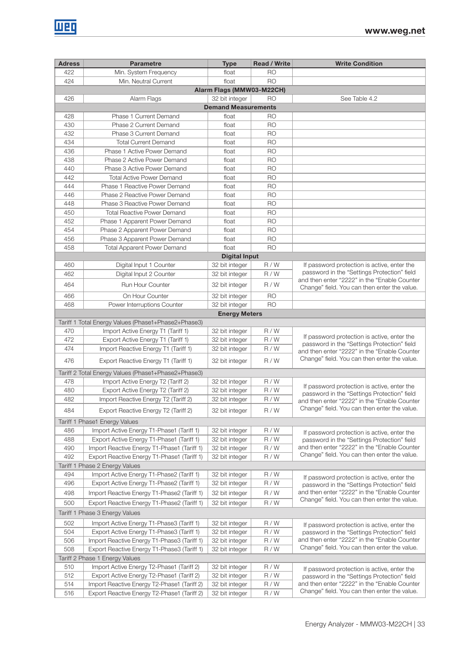| <b>Adress</b>             | <b>Parametre</b>                                    | <b>Type</b>                | <b>Read / Write</b> | <b>Write Condition</b>                                                                      |  |  |  |  |  |  |  |
|---------------------------|-----------------------------------------------------|----------------------------|---------------------|---------------------------------------------------------------------------------------------|--|--|--|--|--|--|--|
| 422                       | Min. System Frequency                               | float                      | R <sub>O</sub>      |                                                                                             |  |  |  |  |  |  |  |
| 424                       | Min. Neutral Current                                | float                      | <b>RO</b>           |                                                                                             |  |  |  |  |  |  |  |
| Alarm Flags (MMW03-M22CH) |                                                     |                            |                     |                                                                                             |  |  |  |  |  |  |  |
| 426                       | Alarm Flags                                         | 32 bit integer             | <b>RO</b>           | See Table 4.2                                                                               |  |  |  |  |  |  |  |
|                           |                                                     | <b>Demand Measurements</b> |                     |                                                                                             |  |  |  |  |  |  |  |
| 428                       | Phase 1 Current Demand                              | float                      | <b>RO</b>           |                                                                                             |  |  |  |  |  |  |  |
| 430                       | Phase 2 Current Demand                              | float                      | <b>RO</b>           |                                                                                             |  |  |  |  |  |  |  |
| 432                       | Phase 3 Current Demand                              | float                      | <b>RO</b>           |                                                                                             |  |  |  |  |  |  |  |
| 434                       | <b>Total Current Demand</b>                         | float                      | <b>RO</b>           |                                                                                             |  |  |  |  |  |  |  |
| 436                       | Phase 1 Active Power Demand                         | float                      | <b>RO</b>           |                                                                                             |  |  |  |  |  |  |  |
| 438                       | Phase 2 Active Power Demand                         | float                      | <b>RO</b>           |                                                                                             |  |  |  |  |  |  |  |
| 440                       | Phase 3 Active Power Demand                         | float                      | <b>RO</b>           |                                                                                             |  |  |  |  |  |  |  |
| 442                       | <b>Total Active Power Demand</b>                    | float                      | <b>RO</b>           |                                                                                             |  |  |  |  |  |  |  |
| 444                       | Phase 1 Reactive Power Demand                       | float                      | <b>RO</b>           |                                                                                             |  |  |  |  |  |  |  |
| 446                       | Phase 2 Reactive Power Demand                       | float                      | <b>RO</b>           |                                                                                             |  |  |  |  |  |  |  |
| 448                       | Phase 3 Reactive Power Demand                       | float                      | <b>RO</b>           |                                                                                             |  |  |  |  |  |  |  |
| 450                       | <b>Total Reactive Power Demand</b>                  | float                      | <b>RO</b>           |                                                                                             |  |  |  |  |  |  |  |
| 452                       | Phase 1 Apparent Power Demand                       | float                      | <b>RO</b>           |                                                                                             |  |  |  |  |  |  |  |
| 454                       | Phase 2 Apparent Power Demand                       | float                      | <b>RO</b>           |                                                                                             |  |  |  |  |  |  |  |
| 456                       | Phase 3 Apparent Power Demand                       | float                      | <b>RO</b>           |                                                                                             |  |  |  |  |  |  |  |
| 458                       | <b>Total Apparent Power Demand</b>                  | float                      | <b>RO</b>           |                                                                                             |  |  |  |  |  |  |  |
|                           |                                                     | <b>Digital Input</b>       |                     |                                                                                             |  |  |  |  |  |  |  |
| 460                       | Digital Input 1 Counter                             | 32 bit integer             | R/W                 | If password protection is active, enter the                                                 |  |  |  |  |  |  |  |
| 462                       | Digital Input 2 Counter                             | 32 bit integer             | R/W                 | password in the "Settings Protection" field                                                 |  |  |  |  |  |  |  |
|                           |                                                     |                            |                     | and then enter "2222" in the "Enable Counter                                                |  |  |  |  |  |  |  |
| 464                       | Run Hour Counter                                    | 32 bit integer             | R/W                 | Change" field. You can then enter the value.                                                |  |  |  |  |  |  |  |
| 466                       | On Hour Counter                                     | 32 bit integer             | <b>RO</b>           |                                                                                             |  |  |  |  |  |  |  |
| 468                       | Power Interruptions Counter                         | 32 bit integer             | <b>RO</b>           |                                                                                             |  |  |  |  |  |  |  |
|                           |                                                     | <b>Energy Meters</b>       |                     |                                                                                             |  |  |  |  |  |  |  |
|                           | Tariff 1 Total Energy Values (Phase1+Phase2+Phase3) |                            |                     |                                                                                             |  |  |  |  |  |  |  |
| 470                       | Import Active Energy T1 (Tariff 1)                  | 32 bit integer             | R/W                 |                                                                                             |  |  |  |  |  |  |  |
| 472                       | Export Active Energy T1 (Tariff 1)                  | 32 bit integer             | R/W                 | If password protection is active, enter the<br>password in the "Settings Protection" field  |  |  |  |  |  |  |  |
| 474                       | Import Reactive Energy T1 (Tariff 1)                | 32 bit integer             | R/W                 | and then enter "2222" in the "Enable Counter                                                |  |  |  |  |  |  |  |
| 476                       | Export Reactive Energy T1 (Tariff 1)                | 32 bit integer             | R/W                 | Change" field. You can then enter the value.                                                |  |  |  |  |  |  |  |
|                           |                                                     |                            |                     |                                                                                             |  |  |  |  |  |  |  |
|                           | Tariff 2 Total Energy Values (Phase1+Phase2+Phase3) |                            |                     |                                                                                             |  |  |  |  |  |  |  |
| 478                       | Import Active Energy T2 (Tariff 2)                  | 32 bit integer             | R/W                 | If password protection is active, enter the                                                 |  |  |  |  |  |  |  |
| 480                       | Export Active Energy T2 (Tariff 2)                  | 32 bit integer             | R/W                 | password in the "Settings Protection" field                                                 |  |  |  |  |  |  |  |
| 482                       | Import Reactive Energy T2 (Tariff 2)                | 32 bit integer             | R/W                 | and then enter "2222" in the "Enable Counter                                                |  |  |  |  |  |  |  |
| 484                       | Export Reactive Energy T2 (Tariff 2)                | 32 bit integer             | R/W                 | Change" field. You can then enter the value.                                                |  |  |  |  |  |  |  |
|                           | Tariff 1 Phase1 Energy Values                       |                            |                     |                                                                                             |  |  |  |  |  |  |  |
| 486                       | Import Active Energy T1-Phase1 (Tariff 1)           | 32 bit integer             | R/W                 |                                                                                             |  |  |  |  |  |  |  |
| 488                       | Export Active Energy T1-Phase1 (Tariff 1)           | 32 bit integer             | R/W                 | If password protection is active, enter the<br>password in the "Settings Protection" field  |  |  |  |  |  |  |  |
| 490                       | Import Reactive Energy T1-Phase1 (Tariff 1)         | 32 bit integer             | R/W                 | and then enter "2222" in the "Enable Counter                                                |  |  |  |  |  |  |  |
| 492                       | Export Reactive Energy T1-Phase1 (Tariff 1)         | 32 bit integer             | R/W                 | Change" field. You can then enter the value.                                                |  |  |  |  |  |  |  |
|                           | Tariff 1 Phase 2 Energy Values                      |                            |                     |                                                                                             |  |  |  |  |  |  |  |
| 494                       | Import Active Energy T1-Phase2 (Tariff 1)           | 32 bit integer             | R/W                 |                                                                                             |  |  |  |  |  |  |  |
| 496                       | Export Active Energy T1-Phase2 (Tariff 1)           | 32 bit integer             | R/W                 | If password protection is active, enter the                                                 |  |  |  |  |  |  |  |
| 498                       | Import Reactive Energy T1-Phase2 (Tariff 1)         | 32 bit integer             | R/W                 | password in the "Settings Protection" field<br>and then enter "2222" in the "Enable Counter |  |  |  |  |  |  |  |
|                           |                                                     |                            |                     | Change" field. You can then enter the value.                                                |  |  |  |  |  |  |  |
| 500                       | Export Reactive Energy T1-Phase2 (Tariff 1)         | 32 bit integer             | R/W                 |                                                                                             |  |  |  |  |  |  |  |
|                           | Tariff 1 Phase 3 Energy Values                      |                            |                     |                                                                                             |  |  |  |  |  |  |  |
| 502                       | Import Active Energy T1-Phase3 (Tariff 1)           | 32 bit integer             | R/W                 | If password protection is active, enter the                                                 |  |  |  |  |  |  |  |
| 504                       | Export Active Energy T1-Phase3 (Tariff 1)           | 32 bit integer             | R/W                 | password in the "Settings Protection" field                                                 |  |  |  |  |  |  |  |
| 506                       | Import Reactive Energy T1-Phase3 (Tariff 1)         | 32 bit integer             | R/W                 | and then enter "2222" in the "Enable Counter                                                |  |  |  |  |  |  |  |
| 508                       | Export Reactive Energy T1-Phase3 (Tariff 1)         | 32 bit integer             | R/W                 | Change" field. You can then enter the value.                                                |  |  |  |  |  |  |  |
|                           | Tariff 2 Phase 1 Energy Values                      |                            |                     |                                                                                             |  |  |  |  |  |  |  |
| 510                       | Import Active Energy T2-Phase1 (Tariff 2)           | 32 bit integer             | R/W                 | If password protection is active, enter the                                                 |  |  |  |  |  |  |  |
| 512                       | Export Active Energy T2-Phase1 (Tariff 2)           | 32 bit integer             | R/W                 | password in the "Settings Protection" field                                                 |  |  |  |  |  |  |  |
| 514                       | Import Reactive Energy T2-Phase1 (Tariff 2)         | 32 bit integer             | R/W                 | and then enter "2222" in the "Enable Counter                                                |  |  |  |  |  |  |  |
| 516                       | Export Reactive Energy T2-Phase1 (Tariff 2)         | 32 bit integer             | R/W                 | Change" field. You can then enter the value.                                                |  |  |  |  |  |  |  |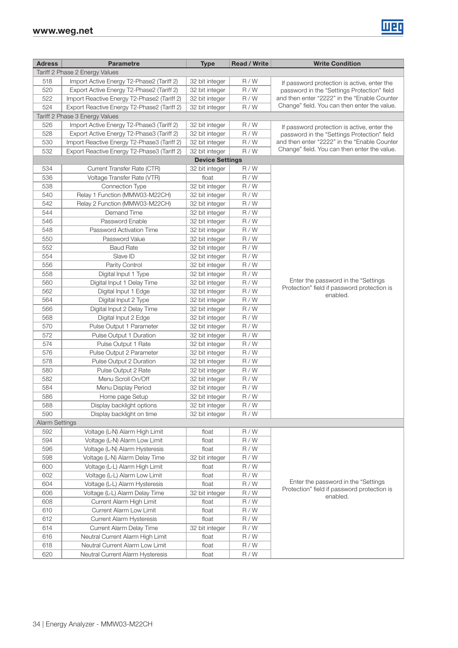| <b>Adress</b>         | <b>Parametre</b>                            | <b>Type</b>            | <b>Read / Write</b> | <b>Write Condition</b>                                  |
|-----------------------|---------------------------------------------|------------------------|---------------------|---------------------------------------------------------|
|                       | Tariff 2 Phase 2 Energy Values              |                        |                     |                                                         |
| 518                   | Import Active Energy T2-Phase2 (Tariff 2)   | 32 bit integer         | R/W                 | If password protection is active, enter the             |
| 520                   | Export Active Energy T2-Phase2 (Tariff 2)   | 32 bit integer         | R/W                 | password in the "Settings Protection" field             |
| 522                   | Import Reactive Energy T2-Phase2 (Tariff 2) | 32 bit integer         | R/W                 | and then enter "2222" in the "Enable Counter            |
| 524                   | Export Reactive Energy T2-Phase2 (Tariff 2) | 32 bit integer         | R/W                 | Change" field. You can then enter the value.            |
|                       | Tariff 2 Phase 3 Energy Values              |                        |                     |                                                         |
| 526                   | Import Active Energy T2-Phase3 (Tariff 2)   | 32 bit integer         | R/W                 | If password protection is active, enter the             |
| 528                   | Export Active Energy T2-Phase3 (Tariff 2)   | 32 bit integer         | R/W                 | password in the "Settings Protection" field             |
| 530                   | Import Reactive Energy T2-Phase3 (Tariff 2) | 32 bit integer         | R/W                 | and then enter "2222" in the "Enable Counter            |
| 532                   | Export Reactive Energy T2-Phase3 (Tariff 2) | 32 bit integer         | R/W                 | Change" field. You can then enter the value.            |
|                       |                                             | <b>Device Settings</b> |                     |                                                         |
| 534                   | Current Transfer Rate (CTR)                 | 32 bit integer         | R/W                 |                                                         |
| 536                   | Voltage Transfer Rate (VTR)                 | float                  | R/W                 |                                                         |
| 538                   | Connection Type                             | 32 bit integer         | R/W                 |                                                         |
| 540                   | Relay 1 Function (MMW03-M22CH)              | 32 bit integer         | R/W                 |                                                         |
| 542                   | Relay 2 Function (MMW03-M22CH)              | 32 bit integer         | R/W                 |                                                         |
| 544                   | Demand Time                                 | 32 bit integer         | R/W                 |                                                         |
| 546                   | Password Enable                             | 32 bit integer         | R/W                 |                                                         |
| 548                   | Password Activation Time                    | 32 bit integer         | R/W                 |                                                         |
| 550                   | Password Value                              | 32 bit integer         | R/W                 |                                                         |
| 552                   | <b>Baud Rate</b>                            | 32 bit integer         | R/W                 |                                                         |
| 554                   | Slave ID                                    | 32 bit integer         | R/W                 |                                                         |
| 556                   | Parity Control                              | 32 bit integer         | R/W                 |                                                         |
| 558                   | Digital Input 1 Type                        | 32 bit integer         | R/W                 |                                                         |
| 560                   | Digital Input 1 Delay Time                  | 32 bit integer         | R/W                 | Enter the password in the "Settings                     |
| 562                   | Digital Input 1 Edge                        | 32 bit integer         | R/W                 | Protection" field if password protection is<br>enabled. |
| 564                   | Digital Input 2 Type                        | 32 bit integer         | R/W                 |                                                         |
| 566                   | Digital Input 2 Delay Time                  | 32 bit integer         | R/W                 |                                                         |
| 568                   | Digital Input 2 Edge                        | 32 bit integer         | R/W                 |                                                         |
| 570                   | Pulse Output 1 Parameter                    | 32 bit integer         | R/W                 |                                                         |
| 572                   | Pulse Output 1 Duration                     | 32 bit integer         | R/W                 |                                                         |
| 574                   | Pulse Output 1 Rate                         | 32 bit integer         | R/W                 |                                                         |
| 576                   | Pulse Output 2 Parameter                    | 32 bit integer         | R/W                 |                                                         |
| 578                   | Pulse Output 2 Duration                     | 32 bit integer         | R/W                 |                                                         |
| 580                   | Pulse Output 2 Rate                         | 32 bit integer         | R/W                 |                                                         |
| 582                   | Menu Scroll On/Off                          | 32 bit integer         | R/W                 |                                                         |
| 584                   | Menu Display Period                         | 32 bit integer         | R/W                 |                                                         |
| 586                   | Home page Setup                             | 32 bit integer         | R/W                 |                                                         |
| 588                   | Display backlight options                   | 32 bit integer         | R/W                 |                                                         |
| 590                   | Display backlight on time                   | 32 bit integer         | R/W                 |                                                         |
| <b>Alarm Settings</b> |                                             |                        |                     |                                                         |
| 592                   | Voltage (L-N) Alarm High Limit              | float                  | R/W                 |                                                         |
| 594                   | Voltage (L-N) Alarm Low Limit               | float                  | R/W                 |                                                         |
| 596                   | Voltage (L-N) Alarm Hysteresis              | float                  | R/W                 |                                                         |
| 598                   | Voltage (L-N) Alarm Delay Time              | 32 bit integer         | R/W                 |                                                         |
| 600                   | Voltage (L-L) Alarm High Limit              | float                  | R/W                 |                                                         |
| 602                   | Voltage (L-L) Alarm Low Limit               | float                  | R/W                 | Enter the password in the "Settings                     |
| 604                   | Voltage (L-L) Alarm Hysteresis              | float                  | R/W                 | Protection" field if password protection is             |
| 606                   | Voltage (L-L) Alarm Delay Time              | 32 bit integer         | R/W                 | enabled.                                                |
| 608                   | Current Alarm High Limit                    | float                  | R/W                 |                                                         |
| 610                   | Current Alarm Low Limit                     | float                  | R/W                 |                                                         |
| 612                   | <b>Current Alarm Hysteresis</b>             | float                  | R/W                 |                                                         |
| 614                   | <b>Current Alarm Delay Time</b>             | 32 bit integer         | R/W                 |                                                         |
| 616                   | Neutral Current Alarm High Limit            | float                  | R/W                 |                                                         |
| 618                   | Neutral Current Alarm Low Limit             | float                  | R/W                 |                                                         |
| 620                   | Neutral Current Alarm Hysteresis            | float                  | R/W                 |                                                         |

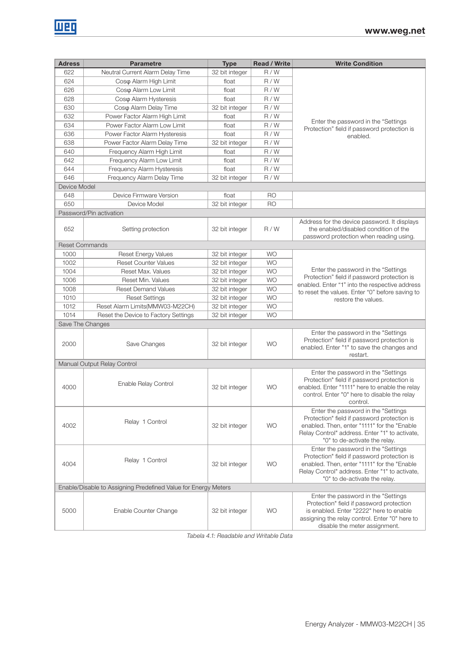| <b>Adress</b>         | <b>Parametre</b>                                               | <b>Type</b>    | <b>Read / Write</b> | <b>Write Condition</b>                                                                                                                                                                                                |
|-----------------------|----------------------------------------------------------------|----------------|---------------------|-----------------------------------------------------------------------------------------------------------------------------------------------------------------------------------------------------------------------|
| 622                   | Neutral Current Alarm Delay Time                               | 32 bit integer | R/W                 |                                                                                                                                                                                                                       |
| 624                   | Coso Alarm High Limit                                          | float          | R/W                 |                                                                                                                                                                                                                       |
| 626                   | Coso Alarm Low Limit                                           | float          | R/W                 |                                                                                                                                                                                                                       |
| 628                   | Coso Alarm Hysteresis                                          | float          | R/W                 |                                                                                                                                                                                                                       |
| 630                   | Coso Alarm Delay Time                                          | 32 bit integer | R/W                 |                                                                                                                                                                                                                       |
| 632                   | Power Factor Alarm High Limit                                  | float          | R/W                 |                                                                                                                                                                                                                       |
| 634                   | Power Factor Alarm Low Limit                                   | float          | R/W                 | Enter the password in the "Settings"<br>Protection" field if password protection is                                                                                                                                   |
| 636                   | Power Factor Alarm Hysteresis                                  | float          | R/W                 | enabled.                                                                                                                                                                                                              |
| 638                   | Power Factor Alarm Delay Time                                  | 32 bit integer | R/W                 |                                                                                                                                                                                                                       |
| 640                   | Frequency Alarm High Limit                                     | float          | R/W                 |                                                                                                                                                                                                                       |
| 642                   | Frequency Alarm Low Limit                                      | float          | R/W                 |                                                                                                                                                                                                                       |
| 644                   | Frequency Alarm Hysteresis                                     | float          | R/W                 |                                                                                                                                                                                                                       |
| 646                   | Frequency Alarm Delay Time                                     | 32 bit integer | R/W                 |                                                                                                                                                                                                                       |
| Device Model          |                                                                |                |                     |                                                                                                                                                                                                                       |
| 648                   | Device Firmware Version                                        | float          | R <sub>O</sub>      |                                                                                                                                                                                                                       |
| 650                   | Device Model                                                   | 32 bit integer | <b>RO</b>           |                                                                                                                                                                                                                       |
|                       | Password/Pin activation                                        |                |                     |                                                                                                                                                                                                                       |
| 652                   | Setting protection                                             | 32 bit integer | R/W                 | Address for the device password. It displays<br>the enabled/disabled condition of the<br>password protection when reading using.                                                                                      |
| <b>Reset Commands</b> |                                                                |                |                     |                                                                                                                                                                                                                       |
| 1000                  | <b>Reset Energy Values</b>                                     | 32 bit integer | <b>WO</b>           |                                                                                                                                                                                                                       |
| 1002                  | <b>Reset Counter Values</b>                                    | 32 bit integer | <b>WO</b>           |                                                                                                                                                                                                                       |
| 1004                  | Reset Max. Values                                              | 32 bit integer | <b>WO</b>           | Enter the password in the "Settings"                                                                                                                                                                                  |
| 1006                  | Reset Min. Values                                              | 32 bit integer | <b>WO</b>           | Protection" field if password protection is<br>enabled. Enter "1" into the respective address                                                                                                                         |
| 1008                  | <b>Reset Demand Values</b>                                     | 32 bit integer | <b>WO</b>           | to reset the values. Enter "0" before saving to                                                                                                                                                                       |
| 1010                  | <b>Reset Settings</b>                                          | 32 bit integer | <b>WO</b>           | restore the values.                                                                                                                                                                                                   |
| 1012                  | Reset Alarm Limits(MMW03-M22CH)                                | 32 bit integer | <b>WO</b>           |                                                                                                                                                                                                                       |
| 1014                  | Reset the Device to Factory Settings                           | 32 bit integer | <b>WO</b>           |                                                                                                                                                                                                                       |
|                       | Save The Changes                                               |                |                     |                                                                                                                                                                                                                       |
| 2000                  | Save Changes                                                   | 32 bit integer | <b>WO</b>           | Enter the password in the "Settings"<br>Protection" field if password protection is<br>enabled. Enter "1" to save the changes and<br>restart.                                                                         |
|                       | Manual Output Relay Control                                    |                |                     |                                                                                                                                                                                                                       |
| 4000                  | Enable Relay Control                                           | 32 bit integer | <b>WO</b>           | Enter the password in the "Settings<br>Protection" field if password protection is<br>enabled. Enter "1111" here to enable the relay<br>control. Enter "0" here to disable the relay<br>control.                      |
| 4002                  | Relay 1 Control                                                | 32 bit integer | <b>WO</b>           | Enter the password in the "Settings"<br>Protection" field if password protection is<br>enabled. Then, enter "1111" for the "Enable<br>Relay Control" address. Enter "1" to activate,<br>"0" to de-activate the relay. |
| 4004                  | Relay 1 Control                                                | 32 bit integer | <b>WO</b>           | Enter the password in the "Settings<br>Protection" field if password protection is<br>enabled. Then, enter "1111" for the "Enable<br>Relay Control" address. Enter "1" to activate,<br>"0" to de-activate the relay.  |
|                       | Enable/Disable to Assigning Predefined Value for Energy Meters |                |                     |                                                                                                                                                                                                                       |
| 5000                  | Enable Counter Change                                          | 32 bit integer | <b>WO</b>           | Enter the password in the "Settings"<br>Protection" field if password protection<br>is enabled. Enter "2222" here to enable<br>assigning the relay control. Enter "0" here to<br>disable the meter assignment.        |

Tabela 4.1: Readable and Writable Data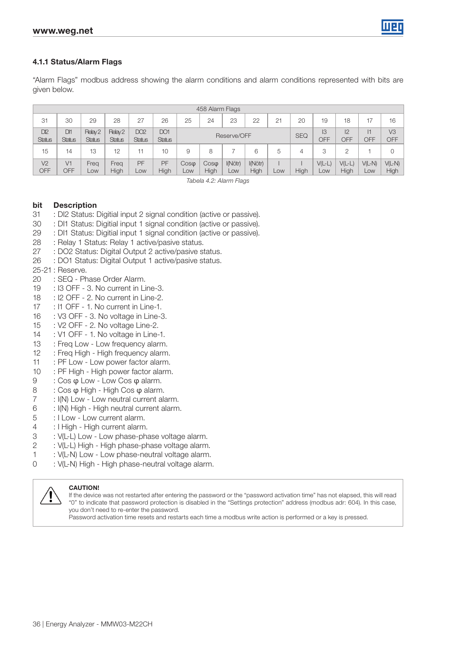#### 4.1.1 Status/Alarm Flags

"Alarm Flags" modbus address showing the alarm conditions and alarm conditions represented with bits are given below.

|                                  | 458 Alarm Flags                  |                                     |                          |                                  |                      |                     |                        |                |                 |            |           |                 |                     |                              |                  |
|----------------------------------|----------------------------------|-------------------------------------|--------------------------|----------------------------------|----------------------|---------------------|------------------------|----------------|-----------------|------------|-----------|-----------------|---------------------|------------------------------|------------------|
| 31                               | 30                               | 29                                  | 28                       | 27                               | 26                   | 25                  | 24                     | 23             | 22              | 21         | 20        | 19              | 18                  | 17                           | 16               |
| D <sub>12</sub><br><b>Status</b> | DH <sub>1</sub><br><b>Status</b> | Relay <sub>2</sub><br><b>Status</b> | Relay 2<br><b>Status</b> | DO <sub>2</sub><br><b>Status</b> | DO1<br><b>Status</b> |                     | Reserve/OFF            |                |                 | <b>SEQ</b> | I3<br>OFF | 12<br>OFF       | $\mathsf{I}$<br>OFF | V <sub>3</sub><br><b>OFF</b> |                  |
| 15                               | 14                               | 13                                  | 12                       |                                  | 10                   | 9                   | 8                      |                | 6               | 5          |           | 3               |                     |                              | 0                |
| V <sub>2</sub><br><b>OFF</b>     | V1<br>OFF                        | Freq<br>Low                         | Freg<br>High             | PF<br>LOW                        | PF<br>High           | $Cos\varphi$<br>LOW | $\cos \varphi$<br>High | I(Nötr)<br>LOW | I(Nötr)<br>High | LOW        | High      | $V(L-L)$<br>LOW | $V(L-L)$<br>High    | $V(L-N)$<br>LOW              | $V(L-N)$<br>High |

Tabela 4.2: Alarm Flags

#### bit Description

- 31 : DI2 Status: Digitial input 2 signal condition (active or passive).
- 30 : DI1 Status: Digitial input 1 signal condition (active or passive).
- 29 : DI1 Status: Digitial input 1 signal condition (active or passive).
- 28 : Relay 1 Status: Relay 1 active/pasive status.
- 27 : DO2 Status: Digital Output 2 active/pasive status.
- 26 : DO1 Status: Digital Output 1 active/pasive status.

#### 25-21 : Reserve.

- 20 : SEQ Phase Order Alarm.
- 19 : I3 OFF 3. No current in Line-3.
- 18 : I2 OFF 2. No current in Line-2.
- 17 : I1 OFF 1. No current in Line-1.
- 16 : V3 OFF 3. No voltage in Line-3.
- 15 : V2 OFF 2. No voltage Line-2.
- 14 : V1 OFF 1. No voltage in Line-1.
- 13 : Freq Low Low frequency alarm.
- 12 : Freq High High frequency alarm.
- 11 : PF Low Low power factor alarm.
- 10 : PF High High power factor alarm.
- 
- 9 : Cos φ Low Low Cos φ alarm.<br>8 : Cos φ High High Cos φ alarm.
- 8 : Cos φ High High Cos φ alarm.<br>7 : I(N) Low Low neutral current al : I(N) Low - Low neutral current alarm.
- 6 : I(N) High High neutral current alarm.
- 5 : I Low Low current alarm.
- 4 : I High High current alarm.
- 3 : V(L-L) Low Low phase-phase voltage alarm.
- 2 : V(L-L) High High phase-phase voltage alarm.
- 1 : V(L-N) Low Low phase-neutral voltage alarm.
- 0 : V(L-N) High High phase-neutral voltage alarm.



#### **CAUTION!**

If the device was not restarted after entering the password or the "password activation time" has not elapsed, this will read "0" to indicate that password protection is disabled in the "Settings protection" address (modbus adr: 604). In this case, you don't need to re-enter the password.

Password activation time resets and restarts each time a modbus write action is performed or a key is pressed.

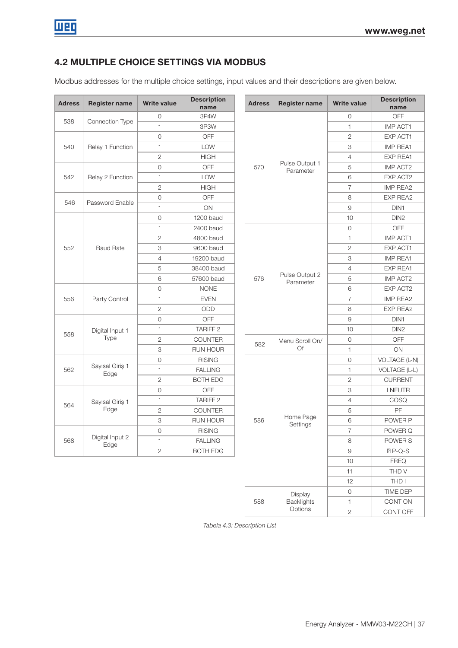# 4.2 MULTIPLE CHOICE SETTINGS VIA MODBUS

Modbus addresses for the multiple choice settings, input values and their descriptions are given below.

| <b>Adress</b> | <b>Register name</b>    | <b>Write value</b> | <b>Description</b><br>name | <b>Adress</b> | <b>Register name</b>        | <b>Write value</b>  | <b>Description</b><br>name |
|---------------|-------------------------|--------------------|----------------------------|---------------|-----------------------------|---------------------|----------------------------|
| 538           |                         | $\circ$            | 3P4W                       |               |                             | $\circ$             | OFF                        |
|               | Connection Type         | $\mathbf{1}$       | 3P3W                       |               |                             | $\mathbf{1}$        | <b>IMP ACT1</b>            |
|               |                         | $\mathbf 0$        | OFF                        |               |                             | $\sqrt{2}$          | EXP ACT1                   |
| 540           | Relay 1 Function        | $\mathbf{1}$       | LOW                        |               |                             | 3                   | <b>IMP REA1</b>            |
|               |                         | $\sqrt{2}$         | <b>HIGH</b>                |               | Pulse Output 1<br>Parameter | 4                   | <b>EXP REA1</b>            |
|               |                         | $\circ$            | OFF                        | 570           |                             | 5                   | <b>IMP ACT2</b>            |
| 542           | Relay 2 Function        | $\mathbf{1}$       | LOW                        |               |                             | 6                   | EXP ACT2                   |
|               |                         | $\overline{2}$     | <b>HIGH</b>                |               |                             | 7                   | IMP REA2                   |
|               |                         | $\mathbf 0$        | OFF                        |               |                             | 8                   | <b>EXP REA2</b>            |
| 546           | Password Enable         | $\mathbf{1}$       | ON                         |               |                             | 9                   | DIN <sub>1</sub>           |
|               |                         | $\mathbf 0$        | 1200 baud                  |               |                             | 10                  | DIN <sub>2</sub>           |
|               |                         | $\mathbf{1}$       | 2400 baud                  |               |                             | $\mathsf{O}\xspace$ | OFF                        |
|               |                         | $\mathbf{2}$       | 4800 baud                  |               |                             | 1                   | <b>IMP ACT1</b>            |
| 552           | <b>Baud Rate</b>        | 3                  | 9600 baud                  |               |                             | $\overline{c}$      | EXP ACT1                   |
|               |                         | $\overline{4}$     | 19200 baud                 |               |                             | 3                   | <b>IMP REA1</b>            |
|               |                         | 5                  | 38400 baud                 |               |                             | 4                   | <b>EXP REA1</b>            |
|               |                         | 6                  | 57600 baud                 | 576           | Pulse Output 2<br>Parameter | 5                   | IMP ACT2                   |
|               |                         | $\circ$            | <b>NONE</b>                |               |                             | 6                   | EXP ACT2                   |
| 556           | Party Control           | $\mathbf{1}$       | <b>EVEN</b>                |               |                             | $\overline{7}$      | <b>IMP REA2</b>            |
|               |                         | $\mathbf{2}$       | ODD                        |               |                             | 8                   | <b>EXP REA2</b>            |
|               |                         | $\mathbf 0$        | OFF                        |               |                             | $\mathcal{G}$       | DIN <sub>1</sub>           |
|               | Digital Input 1         | $\mathbf{1}$       | TARIFF <sub>2</sub>        |               |                             | 10                  | DIN <sub>2</sub>           |
| 558           | Type                    | $\overline{2}$     | <b>COUNTER</b>             |               | Menu Scroll On/             | $\circ$             | OFF                        |
|               |                         | 3                  | <b>RUN HOUR</b>            | 582           | Of                          | 1                   | ON                         |
|               |                         | $\mathbf 0$        | <b>RISING</b>              |               |                             | $\mathsf{O}\xspace$ | VOLTAGE (L-N)              |
| 562           | Sayısal Giriş 1<br>Edge | $\mathbf{1}$       | <b>FALLING</b>             |               |                             | 1                   | VOLTAGE (L-L)              |
|               |                         | $\overline{2}$     | <b>BOTH EDG</b>            |               |                             | $\overline{2}$      | <b>CURRENT</b>             |
|               |                         | $\mathbf 0$        | OFF                        |               |                             | 3                   | <b>I NEUTR</b>             |
|               | Sayısal Giriş 1         | 1                  | <b>TARIFF 2</b>            |               |                             | 4                   | COSQ                       |
| 564           | Edge                    | $\overline{2}$     | <b>COUNTER</b>             |               |                             | 5                   | PF                         |
|               |                         | 3                  | <b>RUN HOUR</b>            | 586           | Home Page<br>Settings       | 6                   | POWER P                    |
|               |                         | $\mathbf 0$        | <b>RISING</b>              |               |                             | $\overline{7}$      | POWER Q                    |
| 568           | Digital Input 2<br>Edge | $\mathbf{1}$       | <b>FALLING</b>             |               |                             | 8                   | POWER S                    |
|               |                         | $\overline{c}$     | <b>BOTH EDG</b>            |               |                             | $\hbox{9}$          | $P-Q-S$                    |
|               |                         |                    |                            |               |                             | 10                  | <b>FREQ</b>                |
|               |                         |                    |                            |               |                             | 11                  | THD V                      |
|               |                         |                    |                            |               |                             | 12                  | THD I                      |
|               |                         |                    |                            |               | Display                     | 0                   | TIME DEP                   |
|               |                         |                    |                            | 588           | Backlights                  | $\uparrow$          | CONT ON                    |

Tabela 4.3: Description List

**Options** 

2 CONT OFF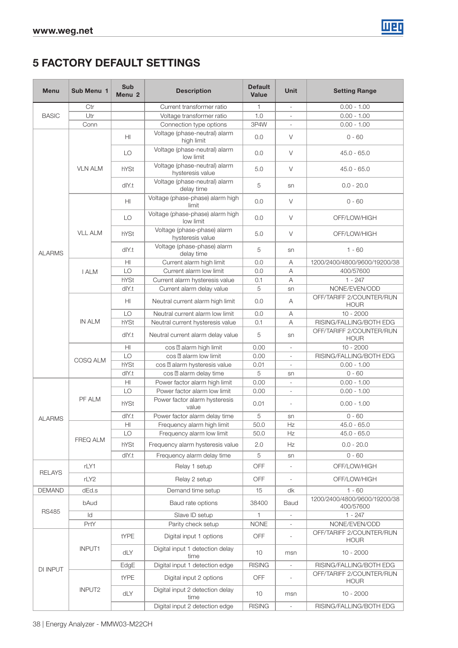

# 5 FACTORY DEFAULT SETTINGS

| <b>Menu</b>   | Sub Menu 1     | <b>Sub</b><br>Menu <sub>2</sub> | <b>Description</b>                | <b>Default</b><br><b>Value</b>                                                                                                                                                                                                                                                                                                                                                                                                                                                                                                                                                                                                                                                                                                                                                                                                                                                                                                                                                                                                                                                                                                                                                                                                                                                                                                                                                                                                                                                                                                                                                                                                                             | Unit                     | <b>Setting Range</b>                      |
|---------------|----------------|---------------------------------|-----------------------------------|------------------------------------------------------------------------------------------------------------------------------------------------------------------------------------------------------------------------------------------------------------------------------------------------------------------------------------------------------------------------------------------------------------------------------------------------------------------------------------------------------------------------------------------------------------------------------------------------------------------------------------------------------------------------------------------------------------------------------------------------------------------------------------------------------------------------------------------------------------------------------------------------------------------------------------------------------------------------------------------------------------------------------------------------------------------------------------------------------------------------------------------------------------------------------------------------------------------------------------------------------------------------------------------------------------------------------------------------------------------------------------------------------------------------------------------------------------------------------------------------------------------------------------------------------------------------------------------------------------------------------------------------------------|--------------------------|-------------------------------------------|
|               | Ctr            |                                 | Current transformer ratio         | $\mathbf{1}$                                                                                                                                                                                                                                                                                                                                                                                                                                                                                                                                                                                                                                                                                                                                                                                                                                                                                                                                                                                                                                                                                                                                                                                                                                                                                                                                                                                                                                                                                                                                                                                                                                               | $\mathcal{L}$            | $0.00 - 1.00$                             |
| <b>BASIC</b>  | Utr            |                                 | Voltage transformer ratio         | 1.0                                                                                                                                                                                                                                                                                                                                                                                                                                                                                                                                                                                                                                                                                                                                                                                                                                                                                                                                                                                                                                                                                                                                                                                                                                                                                                                                                                                                                                                                                                                                                                                                                                                        | $\overline{\phantom{a}}$ | $0.00 - 1.00$                             |
|               | Conn           |                                 | Connection type options           | 3P4W<br>$\overline{\phantom{a}}$<br>0.0<br>V<br>high limit<br>0.0<br>V<br>low limit<br>V<br>5.0<br>hysteresis value<br>5<br>sn<br>delay time<br>0.0<br>V<br>limit<br>0.0<br>V<br>low limit<br>V<br>5.0<br>hysteresis value<br>5<br>sn<br>delay time<br>0.0<br>Current alarm high limit<br>Α<br>Current alarm low limit<br>0.0<br>Α<br>0.1<br>Α<br>Current alarm delay value<br>5<br>sn<br>0.0<br>Α<br>0.0<br>Α<br>0.1<br>Α<br>5<br>sn<br>alarm high limit<br>0.00<br>COS<br>$\overline{a}$<br>alarm low limit<br>0.00<br>COS<br>$\overline{\phantom{a}}$<br>alarm hysteresis value<br>0.01<br>$\overline{\phantom{a}}$<br>5<br>alarm delay time<br>COS<br>sn<br>Power factor alarm high limit<br>0.00<br>Power factor alarm low limit<br>0.00<br>$\overline{\phantom{m}}$<br>Power factor alarm hysteresis<br>0.01<br>$\overline{\phantom{a}}$<br>value<br>Power factor alarm delay time<br>5<br>sn<br>50.0<br>Hz<br>Frequency alarm high limit<br>Frequency alarm low limit<br>50.0<br>Ηz<br>Frequency alarm hysteresis value<br>2.0<br>Ηz<br>Frequency alarm delay time<br>5<br>sn<br>Relay 1 setup<br>OFF<br>$\overline{\phantom{a}}$<br>Relay 2 setup<br>OFF<br>$\overline{\phantom{a}}$<br>Demand time setup<br>15<br>dk<br>Baud rate options<br>38400<br>Baud<br>Slave ID setup<br>1<br>$\overline{\phantom{a}}$<br>Parity check setup<br><b>NONE</b><br>Digital input 1 options<br>OFF<br>$\overline{\phantom{a}}$<br>Digital input 1 detection delay<br>10<br>msn<br>time<br>Digital input 1 detection edge<br><b>RISING</b><br>Digital input 2 options<br>OFF<br>$\overline{\phantom{a}}$<br>Digital input 2 detection delay<br>10<br>msn<br>time | $0.00 - 1.00$            |                                           |
| <b>ALARMS</b> |                | HI                              | Voltage (phase-neutral) alarm     |                                                                                                                                                                                                                                                                                                                                                                                                                                                                                                                                                                                                                                                                                                                                                                                                                                                                                                                                                                                                                                                                                                                                                                                                                                                                                                                                                                                                                                                                                                                                                                                                                                                            |                          | $0 - 60$                                  |
|               |                | LO                              | Voltage (phase-neutral) alarm     |                                                                                                                                                                                                                                                                                                                                                                                                                                                                                                                                                                                                                                                                                                                                                                                                                                                                                                                                                                                                                                                                                                                                                                                                                                                                                                                                                                                                                                                                                                                                                                                                                                                            |                          | $45.0 - 65.0$                             |
|               | <b>VLN ALM</b> | hYSt                            | Voltage (phase-neutral) alarm     |                                                                                                                                                                                                                                                                                                                                                                                                                                                                                                                                                                                                                                                                                                                                                                                                                                                                                                                                                                                                                                                                                                                                                                                                                                                                                                                                                                                                                                                                                                                                                                                                                                                            |                          | $45.0 - 65.0$                             |
|               |                | dlY.t                           | Voltage (phase-neutral) alarm     |                                                                                                                                                                                                                                                                                                                                                                                                                                                                                                                                                                                                                                                                                                                                                                                                                                                                                                                                                                                                                                                                                                                                                                                                                                                                                                                                                                                                                                                                                                                                                                                                                                                            |                          | $0.0 - 20.0$                              |
|               |                | HI                              | Voltage (phase-phase) alarm high  |                                                                                                                                                                                                                                                                                                                                                                                                                                                                                                                                                                                                                                                                                                                                                                                                                                                                                                                                                                                                                                                                                                                                                                                                                                                                                                                                                                                                                                                                                                                                                                                                                                                            |                          | $0 - 60$                                  |
|               | <b>VLL ALM</b> | LO                              | Voltage (phase-phase) alarm high  |                                                                                                                                                                                                                                                                                                                                                                                                                                                                                                                                                                                                                                                                                                                                                                                                                                                                                                                                                                                                                                                                                                                                                                                                                                                                                                                                                                                                                                                                                                                                                                                                                                                            |                          | OFF/LOW/HIGH                              |
|               |                | hYSt                            | Voltage (phase-phase) alarm       |                                                                                                                                                                                                                                                                                                                                                                                                                                                                                                                                                                                                                                                                                                                                                                                                                                                                                                                                                                                                                                                                                                                                                                                                                                                                                                                                                                                                                                                                                                                                                                                                                                                            |                          | OFF/LOW/HIGH                              |
|               |                | dlY.t                           | Voltage (phase-phase) alarm       |                                                                                                                                                                                                                                                                                                                                                                                                                                                                                                                                                                                                                                                                                                                                                                                                                                                                                                                                                                                                                                                                                                                                                                                                                                                                                                                                                                                                                                                                                                                                                                                                                                                            |                          | $1 - 60$                                  |
|               |                | H <sub>II</sub>                 |                                   |                                                                                                                                                                                                                                                                                                                                                                                                                                                                                                                                                                                                                                                                                                                                                                                                                                                                                                                                                                                                                                                                                                                                                                                                                                                                                                                                                                                                                                                                                                                                                                                                                                                            |                          | 1200/2400/4800/9600/19200/38              |
|               | <b>I ALM</b>   | LO                              |                                   |                                                                                                                                                                                                                                                                                                                                                                                                                                                                                                                                                                                                                                                                                                                                                                                                                                                                                                                                                                                                                                                                                                                                                                                                                                                                                                                                                                                                                                                                                                                                                                                                                                                            |                          | 400/57600                                 |
|               |                | hYSt                            | Current alarm hysteresis value    |                                                                                                                                                                                                                                                                                                                                                                                                                                                                                                                                                                                                                                                                                                                                                                                                                                                                                                                                                                                                                                                                                                                                                                                                                                                                                                                                                                                                                                                                                                                                                                                                                                                            |                          | $1 - 247$                                 |
|               |                | dlY.t                           |                                   |                                                                                                                                                                                                                                                                                                                                                                                                                                                                                                                                                                                                                                                                                                                                                                                                                                                                                                                                                                                                                                                                                                                                                                                                                                                                                                                                                                                                                                                                                                                                                                                                                                                            |                          | NONE/EVEN/ODD                             |
|               |                | HI                              | Neutral current alarm high limit  |                                                                                                                                                                                                                                                                                                                                                                                                                                                                                                                                                                                                                                                                                                                                                                                                                                                                                                                                                                                                                                                                                                                                                                                                                                                                                                                                                                                                                                                                                                                                                                                                                                                            |                          | OFF/TARIFF 2/COUNTER/RUN<br><b>HOUR</b>   |
|               |                | LO                              | Neutral current alarm low limit   |                                                                                                                                                                                                                                                                                                                                                                                                                                                                                                                                                                                                                                                                                                                                                                                                                                                                                                                                                                                                                                                                                                                                                                                                                                                                                                                                                                                                                                                                                                                                                                                                                                                            |                          | $10 - 2000$                               |
|               | <b>IN ALM</b>  | hYSt                            | Neutral current hysteresis value  |                                                                                                                                                                                                                                                                                                                                                                                                                                                                                                                                                                                                                                                                                                                                                                                                                                                                                                                                                                                                                                                                                                                                                                                                                                                                                                                                                                                                                                                                                                                                                                                                                                                            |                          | RISING/FALLING/BOTH EDG                   |
|               |                | dlY.t                           | Neutral current alarm delay value |                                                                                                                                                                                                                                                                                                                                                                                                                                                                                                                                                                                                                                                                                                                                                                                                                                                                                                                                                                                                                                                                                                                                                                                                                                                                                                                                                                                                                                                                                                                                                                                                                                                            |                          | OFF/TARIFF 2/COUNTER/RUN<br><b>HOUR</b>   |
|               |                | H <sub>II</sub>                 |                                   |                                                                                                                                                                                                                                                                                                                                                                                                                                                                                                                                                                                                                                                                                                                                                                                                                                                                                                                                                                                                                                                                                                                                                                                                                                                                                                                                                                                                                                                                                                                                                                                                                                                            |                          | $10 - 2000$                               |
|               | COSQ ALM       | LO                              |                                   |                                                                                                                                                                                                                                                                                                                                                                                                                                                                                                                                                                                                                                                                                                                                                                                                                                                                                                                                                                                                                                                                                                                                                                                                                                                                                                                                                                                                                                                                                                                                                                                                                                                            |                          | RISING/FALLING/BOTH EDG                   |
|               |                | hYSt                            | COS                               |                                                                                                                                                                                                                                                                                                                                                                                                                                                                                                                                                                                                                                                                                                                                                                                                                                                                                                                                                                                                                                                                                                                                                                                                                                                                                                                                                                                                                                                                                                                                                                                                                                                            |                          | $0.00 - 1.00$                             |
|               |                | dlY.t                           |                                   |                                                                                                                                                                                                                                                                                                                                                                                                                                                                                                                                                                                                                                                                                                                                                                                                                                                                                                                                                                                                                                                                                                                                                                                                                                                                                                                                                                                                                                                                                                                                                                                                                                                            |                          | $0 - 60$                                  |
|               |                | H                               |                                   |                                                                                                                                                                                                                                                                                                                                                                                                                                                                                                                                                                                                                                                                                                                                                                                                                                                                                                                                                                                                                                                                                                                                                                                                                                                                                                                                                                                                                                                                                                                                                                                                                                                            |                          | $0.00 - 1.00$                             |
|               | LO             |                                 |                                   |                                                                                                                                                                                                                                                                                                                                                                                                                                                                                                                                                                                                                                                                                                                                                                                                                                                                                                                                                                                                                                                                                                                                                                                                                                                                                                                                                                                                                                                                                                                                                                                                                                                            |                          | $0.00 - 1.00$                             |
|               | PF ALM         | hYSt                            |                                   |                                                                                                                                                                                                                                                                                                                                                                                                                                                                                                                                                                                                                                                                                                                                                                                                                                                                                                                                                                                                                                                                                                                                                                                                                                                                                                                                                                                                                                                                                                                                                                                                                                                            |                          | $0.00 - 1.00$                             |
| <b>ALARMS</b> |                | dlY.t                           |                                   |                                                                                                                                                                                                                                                                                                                                                                                                                                                                                                                                                                                                                                                                                                                                                                                                                                                                                                                                                                                                                                                                                                                                                                                                                                                                                                                                                                                                                                                                                                                                                                                                                                                            |                          | $0 - 60$                                  |
|               |                | HI                              |                                   |                                                                                                                                                                                                                                                                                                                                                                                                                                                                                                                                                                                                                                                                                                                                                                                                                                                                                                                                                                                                                                                                                                                                                                                                                                                                                                                                                                                                                                                                                                                                                                                                                                                            |                          | $45.0 - 65.0$                             |
|               | FREQ ALM       | LO                              |                                   |                                                                                                                                                                                                                                                                                                                                                                                                                                                                                                                                                                                                                                                                                                                                                                                                                                                                                                                                                                                                                                                                                                                                                                                                                                                                                                                                                                                                                                                                                                                                                                                                                                                            |                          | $45.0 - 65.0$                             |
|               |                | hYSt                            |                                   |                                                                                                                                                                                                                                                                                                                                                                                                                                                                                                                                                                                                                                                                                                                                                                                                                                                                                                                                                                                                                                                                                                                                                                                                                                                                                                                                                                                                                                                                                                                                                                                                                                                            |                          | $0.0 - 20.0$                              |
|               |                | dlY.t                           |                                   |                                                                                                                                                                                                                                                                                                                                                                                                                                                                                                                                                                                                                                                                                                                                                                                                                                                                                                                                                                                                                                                                                                                                                                                                                                                                                                                                                                                                                                                                                                                                                                                                                                                            |                          | $0 - 60$                                  |
| <b>RELAYS</b> | rLY1           |                                 |                                   |                                                                                                                                                                                                                                                                                                                                                                                                                                                                                                                                                                                                                                                                                                                                                                                                                                                                                                                                                                                                                                                                                                                                                                                                                                                                                                                                                                                                                                                                                                                                                                                                                                                            |                          | OFF/LOW/HIGH                              |
|               | rLY2           |                                 |                                   |                                                                                                                                                                                                                                                                                                                                                                                                                                                                                                                                                                                                                                                                                                                                                                                                                                                                                                                                                                                                                                                                                                                                                                                                                                                                                                                                                                                                                                                                                                                                                                                                                                                            |                          | OFF/LOW/HIGH                              |
| <b>DEMAND</b> | dEd.s          |                                 |                                   |                                                                                                                                                                                                                                                                                                                                                                                                                                                                                                                                                                                                                                                                                                                                                                                                                                                                                                                                                                                                                                                                                                                                                                                                                                                                                                                                                                                                                                                                                                                                                                                                                                                            |                          | $1 - 60$                                  |
| <b>RS485</b>  | bAud           |                                 |                                   |                                                                                                                                                                                                                                                                                                                                                                                                                                                                                                                                                                                                                                                                                                                                                                                                                                                                                                                                                                                                                                                                                                                                                                                                                                                                                                                                                                                                                                                                                                                                                                                                                                                            |                          | 1200/2400/4800/9600/19200/38<br>400/57600 |
|               | ld             |                                 |                                   |                                                                                                                                                                                                                                                                                                                                                                                                                                                                                                                                                                                                                                                                                                                                                                                                                                                                                                                                                                                                                                                                                                                                                                                                                                                                                                                                                                                                                                                                                                                                                                                                                                                            |                          | $1 - 247$                                 |
|               | PrtY           |                                 |                                   |                                                                                                                                                                                                                                                                                                                                                                                                                                                                                                                                                                                                                                                                                                                                                                                                                                                                                                                                                                                                                                                                                                                                                                                                                                                                                                                                                                                                                                                                                                                                                                                                                                                            |                          | NONE/EVEN/ODD                             |
|               |                | tYPE                            |                                   |                                                                                                                                                                                                                                                                                                                                                                                                                                                                                                                                                                                                                                                                                                                                                                                                                                                                                                                                                                                                                                                                                                                                                                                                                                                                                                                                                                                                                                                                                                                                                                                                                                                            |                          | OFF/TARIFF 2/COUNTER/RUN<br><b>HOUR</b>   |
|               | INPUT1         | dLY                             |                                   |                                                                                                                                                                                                                                                                                                                                                                                                                                                                                                                                                                                                                                                                                                                                                                                                                                                                                                                                                                                                                                                                                                                                                                                                                                                                                                                                                                                                                                                                                                                                                                                                                                                            |                          | $10 - 2000$                               |
| DI INPUT      |                | EdgE                            |                                   |                                                                                                                                                                                                                                                                                                                                                                                                                                                                                                                                                                                                                                                                                                                                                                                                                                                                                                                                                                                                                                                                                                                                                                                                                                                                                                                                                                                                                                                                                                                                                                                                                                                            |                          | RISING/FALLING/BOTH EDG                   |
|               |                | tYPE                            |                                   |                                                                                                                                                                                                                                                                                                                                                                                                                                                                                                                                                                                                                                                                                                                                                                                                                                                                                                                                                                                                                                                                                                                                                                                                                                                                                                                                                                                                                                                                                                                                                                                                                                                            |                          | OFF/TARIFF 2/COUNTER/RUN<br><b>HOUR</b>   |
|               | INPUT2         | dLY                             |                                   |                                                                                                                                                                                                                                                                                                                                                                                                                                                                                                                                                                                                                                                                                                                                                                                                                                                                                                                                                                                                                                                                                                                                                                                                                                                                                                                                                                                                                                                                                                                                                                                                                                                            |                          | $10 - 2000$                               |
|               |                |                                 | Digital input 2 detection edge    | <b>RISING</b>                                                                                                                                                                                                                                                                                                                                                                                                                                                                                                                                                                                                                                                                                                                                                                                                                                                                                                                                                                                                                                                                                                                                                                                                                                                                                                                                                                                                                                                                                                                                                                                                                                              |                          | RISING/FALLING/BOTH EDG                   |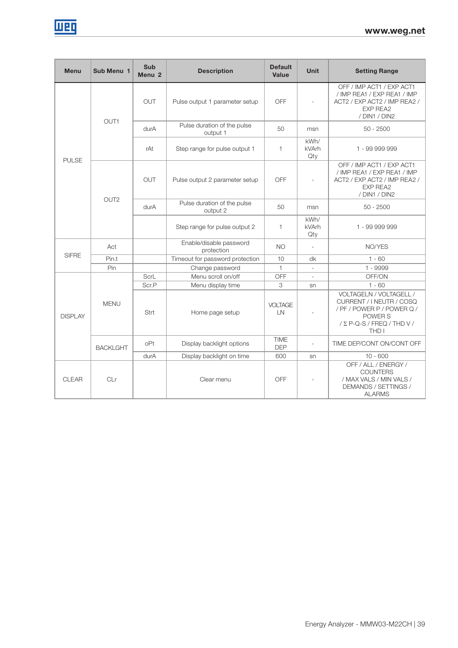| <b>Menu</b>    | Sub Menu 1       | <b>Sub</b><br>Menu <sub>2</sub> | <b>Description</b>                      | <b>Default</b><br><b>Value</b> | <b>Unit</b>                 | <b>Setting Range</b>                                                                                                                               |
|----------------|------------------|---------------------------------|-----------------------------------------|--------------------------------|-----------------------------|----------------------------------------------------------------------------------------------------------------------------------------------------|
|                | OUT1             | <b>OUT</b>                      | Pulse output 1 parameter setup          | OFF                            |                             | OFF / IMP ACT1 / EXP ACT1<br>/ IMP REA1 / EXP REA1 / IMP<br>ACT2 / EXP ACT2 / IMP REA2 /<br><b>EXP REA2</b><br>/ DIN1 / DIN2                       |
|                |                  | durA                            | Pulse duration of the pulse<br>output 1 | 50                             | msn                         | $50 - 2500$                                                                                                                                        |
| <b>PULSE</b>   |                  | rAt                             | Step range for pulse output 1           | 1                              | kWh/<br><b>kVArh</b><br>Qty | 1 - 99 999 999                                                                                                                                     |
|                |                  | <b>OUT</b>                      | Pulse output 2 parameter setup          | OFF                            |                             | OFF / IMP ACT1 / EXP ACT1<br>/ IMP REA1 / EXP REA1 / IMP<br>ACT2 / EXP ACT2 / IMP REA2 /<br><b>EXP REA2</b><br>/ DIN1 / DIN2                       |
|                | OUT <sub>2</sub> | durA                            | Pulse duration of the pulse<br>output 2 | 50                             | msn                         | $50 - 2500$                                                                                                                                        |
|                |                  |                                 | Step range for pulse output 2           | 1                              | kWh/<br>kVArh<br>Qty        | 1 - 99 999 999                                                                                                                                     |
|                | Act              |                                 | Enable/disable password<br>protection   | <b>NO</b>                      |                             | NO/YES                                                                                                                                             |
| <b>SIFRE</b>   | Pin.t            |                                 | Timeout for password protection         | 10                             | dk                          | $1 - 60$                                                                                                                                           |
|                | Pin              |                                 | Change password                         | $\mathbf{1}$                   |                             | $1 - 9999$                                                                                                                                         |
|                |                  | ScrL                            | Menu scroll on/off                      | OFF                            |                             | OFF/ON                                                                                                                                             |
|                |                  | Scr.P                           | Menu display time                       | 3                              | sn                          | $1 - 60$                                                                                                                                           |
| <b>DISPLAY</b> | <b>MENU</b>      | Strt                            | Home page setup                         | <b>VOLTAGE</b><br>LN           |                             | VOLTAGELN / VOLTAGELL /<br>CURRENT / I NEUTR / COSQ<br>/ PF / POWER P / POWER Q /<br>POWER S<br>$/$ $\Sigma$ P-Q-S $/$ FREQ $/$ THD V $/$<br>THD I |
|                | <b>BACKLGHT</b>  | oPt                             | Display backlight options               | <b>TIME</b><br><b>DEP</b>      |                             | TIME DEP/CONT ON/CONT OFF                                                                                                                          |
|                |                  | durA                            | Display backlight on time               | 600                            | sn                          | $10 - 600$                                                                                                                                         |
| <b>CLEAR</b>   | CLr              |                                 | Clear menu                              | OFF                            |                             | OFF / ALL / ENERGY /<br><b>COUNTERS</b><br>/ MAX VALS / MIN VALS /<br>DEMANDS / SETTINGS /<br><b>ALARMS</b>                                        |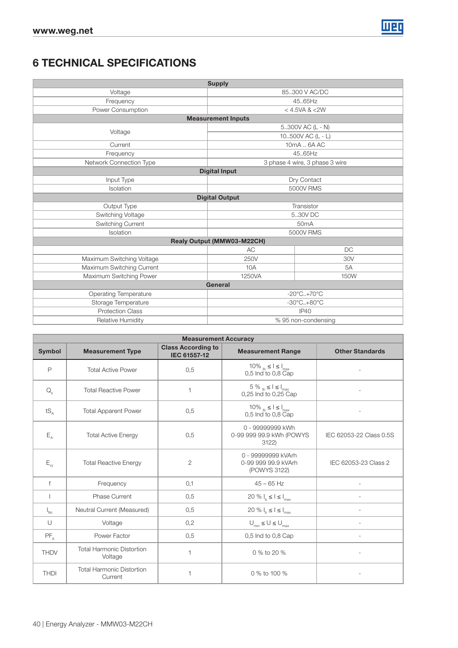

# 6 TECHNICAL SPECIFICATIONS

|                           | <b>Supply</b>              |                                 |  |
|---------------------------|----------------------------|---------------------------------|--|
| Voltage                   |                            | 85.300 V AC/DC                  |  |
| Frequency                 |                            | 45.65Hz                         |  |
| Power Consumption         | < 4.5VA < 2W               |                                 |  |
|                           | <b>Measurement Inputs</b>  |                                 |  |
| Voltage                   | 5300V AC (L - N)           |                                 |  |
|                           | 10500V AC (L - L)          |                                 |  |
| Current                   |                            | 10mA  6A AC                     |  |
| Frequency                 |                            | 45.65Hz                         |  |
| Network Connection Type   |                            | 3 phase 4 wire, 3 phase 3 wire  |  |
|                           | <b>Digital Input</b>       |                                 |  |
| Input Type                |                            | Dry Contact                     |  |
| Isolation                 |                            | 5000V RMS                       |  |
|                           | <b>Digital Output</b>      |                                 |  |
| Output Type               |                            | Transistor                      |  |
| Switching Voltage         |                            | 5.30V DC                        |  |
| Switching Current         | 50 <sub>m</sub> A          |                                 |  |
| Isolation                 |                            | 5000V RMS                       |  |
|                           | Realy Output (MMW03-M22CH) |                                 |  |
|                           | <b>AC</b>                  | <b>DC</b>                       |  |
| Maximum Switching Voltage | 250V                       | 30V                             |  |
| Maximum Switching Current | 10A                        | 5A                              |  |
| Maximum Switching Power   | 1250VA                     | 150W                            |  |
|                           | General                    |                                 |  |
| Operating Temperature     |                            | $-20^{\circ}$ C $+70^{\circ}$ C |  |
| Storage Temperature       |                            | $-30^{\circ}$ C $+80^{\circ}$ C |  |
| <b>Protection Class</b>   |                            | IP40                            |  |
| Relative Humidity         |                            | % 95 non-condensing             |  |

|                            |                                             | <b>Measurement Accuracy</b>               |                                                                                                                                                                                                                                                                                         |                         |
|----------------------------|---------------------------------------------|-------------------------------------------|-----------------------------------------------------------------------------------------------------------------------------------------------------------------------------------------------------------------------------------------------------------------------------------------|-------------------------|
| <b>Symbol</b>              | <b>Measurement Type</b>                     | <b>Class According to</b><br>IEC 61557-12 | <b>Measurement Range</b>                                                                                                                                                                                                                                                                | <b>Other Standards</b>  |
| P                          | <b>Total Active Power</b>                   | 0,5                                       | 10% $_{\text{lb}} \leq I \leq I_{\text{max}}$<br>0,5 Ind to 0,8 Cap                                                                                                                                                                                                                     |                         |
| $Q_{V}$                    | <b>Total Reactive Power</b>                 | $\overline{1}$                            | $5$ % $_{\rm lb} \leq$ $l \leq$ $l_{\rm max}$<br>0,25 Ind to 0,25 Cap                                                                                                                                                                                                                   |                         |
| $tS_A$                     | <b>Total Apparent Power</b>                 | 0,5                                       | 10% $_1$ $\leq$ $\leq$ $\leq$ $\leq$ $\leq$ $\leq$ $\leq$ $\leq$ $\leq$ $\leq$ $\leq$ $\leq$ $\leq$ $\leq$ $\leq$ $\leq$ $\leq$ $\leq$ $\leq$ $\leq$ $\leq$ $\leq$ $\leq$ $\leq$ $\leq$ $\leq$ $\leq$ $\leq$ $\leq$ $\leq$ $\leq$ $\leq$ $\leq$ $\leq$ $\leq$ $\$<br>0,5 Ind to 0,8 Cap |                         |
| $E_{\rm A}$                | <b>Total Active Energy</b>                  | 0,5                                       | 0 - 99999999 kWh<br>0-99 999 99.9 kWh (POWYS<br>3122)                                                                                                                                                                                                                                   | IEC 62053-22 Class 0.5S |
| $E_{\rm rv}$               | <b>Total Reactive Energy</b>                | 2                                         | 0 - 99999999 kVArh<br>0-99 999 99.9 kVArh<br>(POWYS 3122)                                                                                                                                                                                                                               | IEC 62053-23 Class 2    |
| $\mathsf{f}$               | Frequency                                   | 0,1                                       | $45 - 65$ Hz                                                                                                                                                                                                                                                                            |                         |
|                            | <b>Phase Current</b>                        | 0,5                                       | 20 % $I_b \leq I \leq I_{max}$                                                                                                                                                                                                                                                          |                         |
| $\mathsf{I}_{\mathsf{Nc}}$ | Neutral Current (Measured)                  | 0,5                                       | 20 % $I_b \leq I \leq I_{max}$                                                                                                                                                                                                                                                          |                         |
| $\cup$                     | Voltage                                     | 0,2                                       | $\bigcup_{\text{min}} \leq \bigcup \leq \bigcup_{\text{max}}$                                                                                                                                                                                                                           |                         |
| $PF_A$                     | Power Factor                                | 0,5                                       | 0,5 Ind to 0,8 Cap                                                                                                                                                                                                                                                                      | L.                      |
| <b>THDV</b>                | <b>Total Harmonic Distortion</b><br>Voltage | $\mathbf{1}$                              | 0 % to 20 %                                                                                                                                                                                                                                                                             |                         |
| <b>THDI</b>                | <b>Total Harmonic Distortion</b><br>Current | $\mathbf{1}$                              | 0 % to 100 %                                                                                                                                                                                                                                                                            |                         |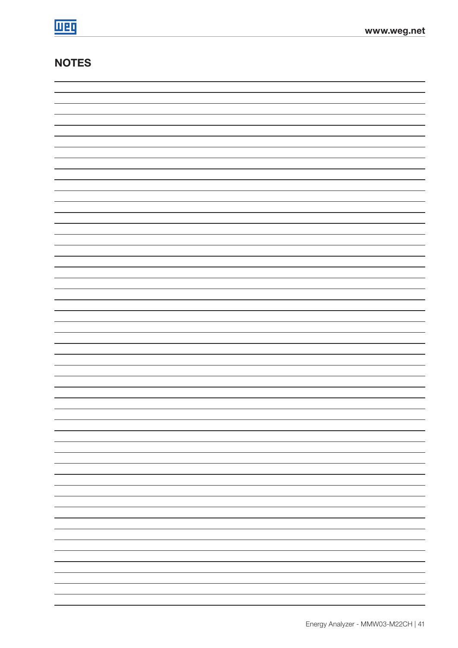# **NOTES**

| -                           |
|-----------------------------|
| —                           |
|                             |
| -                           |
| —                           |
| -                           |
|                             |
|                             |
| —                           |
|                             |
| -                           |
| —                           |
| -                           |
|                             |
| $\overbrace{\hspace{27mm}}$ |
| $\overline{\phantom{0}}$    |
|                             |
| —                           |
| -                           |
| —                           |
| -                           |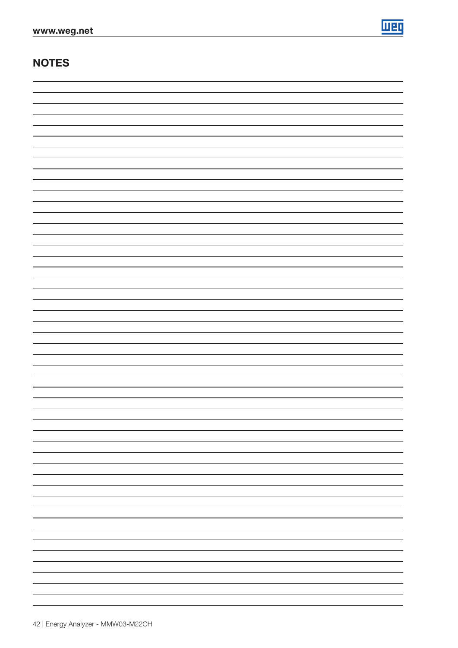

# **NOTES**

| - |
|---|
|   |
|   |
|   |
|   |
|   |
|   |
|   |
|   |
| - |
|   |
| - |
|   |
|   |
|   |
|   |
|   |
|   |
|   |
|   |
|   |
| - |
|   |
|   |
|   |
|   |
|   |
|   |
|   |
|   |
|   |
|   |
|   |
|   |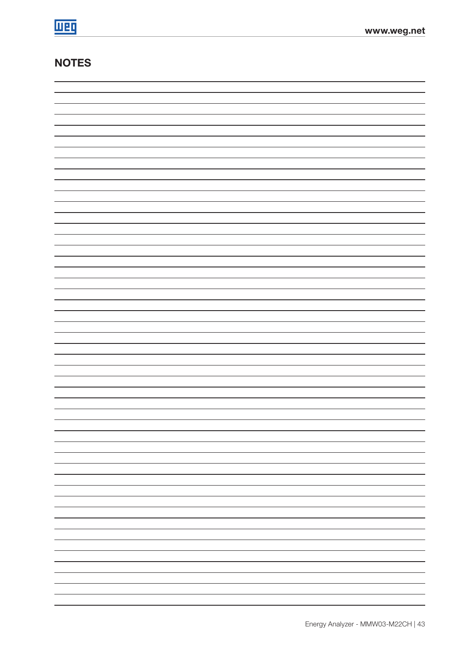# **NOTES**

| —                        |
|--------------------------|
|                          |
| -                        |
|                          |
| -                        |
| -                        |
|                          |
| $\overline{\phantom{0}}$ |
|                          |
| $\overline{\phantom{0}}$ |
|                          |
| —                        |
| -                        |
|                          |
| —                        |
|                          |
| -                        |
|                          |
| $\overline{\phantom{0}}$ |
| —                        |
|                          |
| -                        |
|                          |
| -                        |
|                          |
| -                        |
|                          |